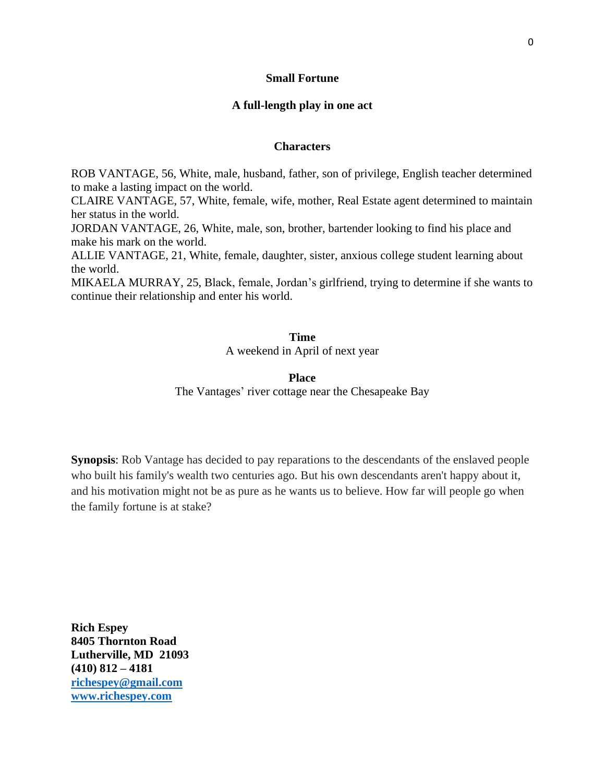# **Small Fortune**

# **A full-length play in one act**

#### **Characters**

ROB VANTAGE, 56, White, male, husband, father, son of privilege, English teacher determined to make a lasting impact on the world.

CLAIRE VANTAGE, 57, White, female, wife, mother, Real Estate agent determined to maintain her status in the world.

JORDAN VANTAGE, 26, White, male, son, brother, bartender looking to find his place and make his mark on the world.

ALLIE VANTAGE, 21, White, female, daughter, sister, anxious college student learning about the world.

MIKAELA MURRAY, 25, Black, female, Jordan's girlfriend, trying to determine if she wants to continue their relationship and enter his world.

#### **Time**

A weekend in April of next year

#### **Place**

The Vantages' river cottage near the Chesapeake Bay

**Synopsis**: Rob Vantage has decided to pay reparations to the descendants of the enslaved people who built his family's wealth two centuries ago. But his own descendants aren't happy about it, and his motivation might not be as pure as he wants us to believe. How far will people go when the family fortune is at stake?

**Rich Espey 8405 Thornton Road Lutherville, MD 21093 (410) 812 – 4181 [richespey@gmail.com](mailto:richespey@gmail.com) [www.richespey.com](http://www.richespey.com/)**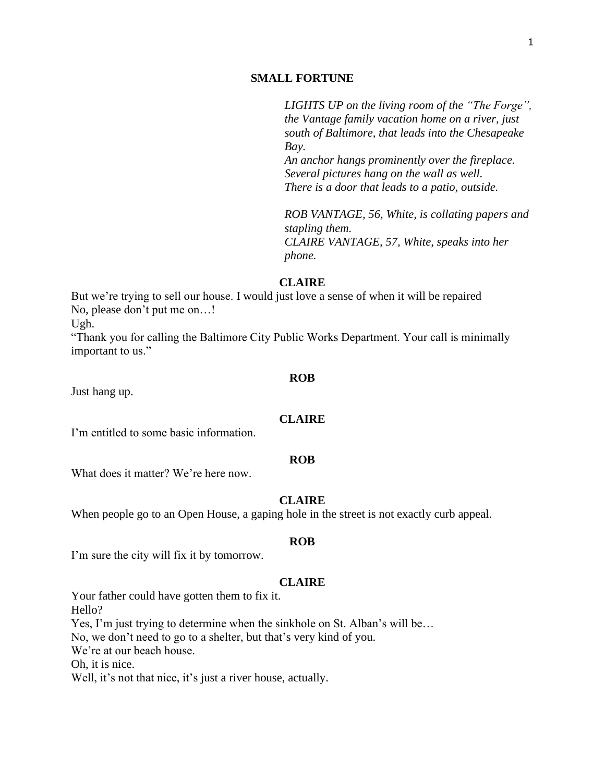# **SMALL FORTUNE**

*LIGHTS UP on the living room of the "The Forge", the Vantage family vacation home on a river, just south of Baltimore, that leads into the Chesapeake Bay.* 

*An anchor hangs prominently over the fireplace. Several pictures hang on the wall as well. There is a door that leads to a patio, outside.*

*ROB VANTAGE, 56, White, is collating papers and stapling them. CLAIRE VANTAGE, 57, White, speaks into her phone.*

# **CLAIRE**

But we're trying to sell our house. I would just love a sense of when it will be repaired No, please don't put me on…!

Ugh.

"Thank you for calling the Baltimore City Public Works Department. Your call is minimally important to us."

#### **ROB**

Just hang up.

# **CLAIRE**

I'm entitled to some basic information.

#### **ROB**

What does it matter? We're here now.

# **CLAIRE**

When people go to an Open House, a gaping hole in the street is not exactly curb appeal.

#### **ROB**

I'm sure the city will fix it by tomorrow.

#### **CLAIRE**

Your father could have gotten them to fix it. Hello? Yes, I'm just trying to determine when the sinkhole on St. Alban's will be… No, we don't need to go to a shelter, but that's very kind of you. We're at our beach house. Oh, it is nice. Well, it's not that nice, it's just a river house, actually.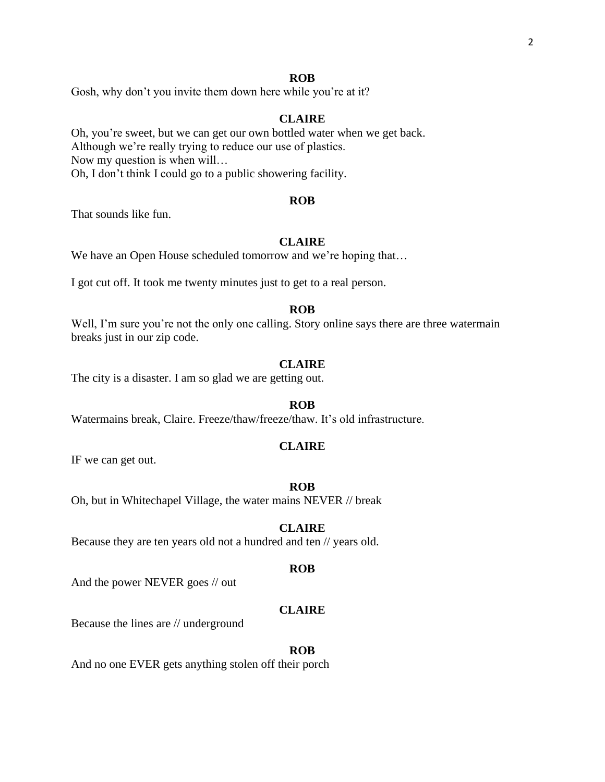#### **ROB**

Gosh, why don't you invite them down here while you're at it?

# **CLAIRE**

Oh, you're sweet, but we can get our own bottled water when we get back. Although we're really trying to reduce our use of plastics. Now my question is when will… Oh, I don't think I could go to a public showering facility.

#### **ROB**

That sounds like fun.

#### **CLAIRE**

We have an Open House scheduled tomorrow and we're hoping that...

I got cut off. It took me twenty minutes just to get to a real person.

#### **ROB**

Well, I'm sure you're not the only one calling. Story online says there are three watermain breaks just in our zip code.

# **CLAIRE**

The city is a disaster. I am so glad we are getting out.

#### **ROB**

Watermains break, Claire. Freeze/thaw/freeze/thaw. It's old infrastructure.

# **CLAIRE**

IF we can get out.

# **ROB**

Oh, but in Whitechapel Village, the water mains NEVER // break

# **CLAIRE**

Because they are ten years old not a hundred and ten // years old.

#### **ROB**

And the power NEVER goes // out

# **CLAIRE**

Because the lines are // underground

#### **ROB**

And no one EVER gets anything stolen off their porch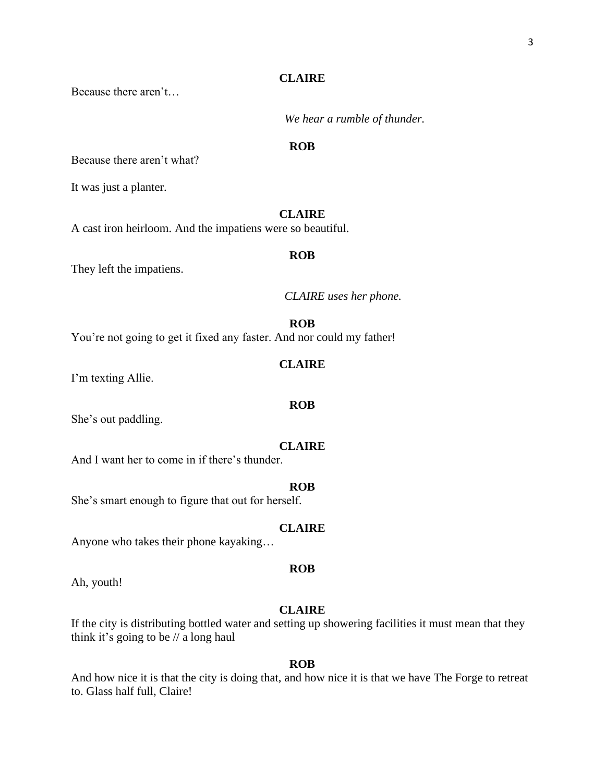Because there aren't…

*We hear a rumble of thunder.*

# **ROB**

Because there aren't what?

It was just a planter.

# **CLAIRE**

A cast iron heirloom. And the impatiens were so beautiful.

# **ROB**

They left the impatiens.

*CLAIRE uses her phone.*

# **ROB**

You're not going to get it fixed any faster. And nor could my father!

# **CLAIRE**

**ROB**

I'm texting Allie.

She's out paddling.

# **CLAIRE**

And I want her to come in if there's thunder.

#### **ROB**

She's smart enough to figure that out for herself.

# **CLAIRE**

Anyone who takes their phone kayaking…

#### **ROB**

Ah, youth!

# **CLAIRE**

If the city is distributing bottled water and setting up showering facilities it must mean that they think it's going to be // a long haul

# **ROB**

And how nice it is that the city is doing that, and how nice it is that we have The Forge to retreat to. Glass half full, Claire!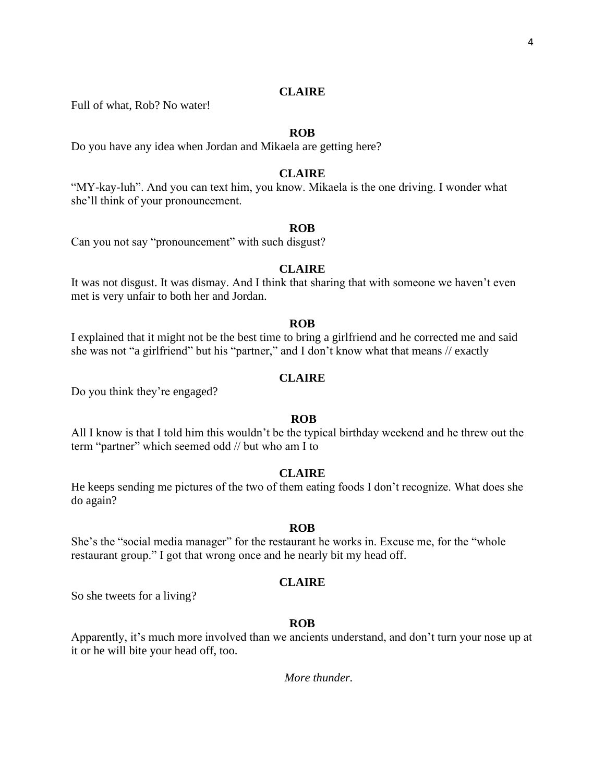Full of what, Rob? No water!

# **ROB**

Do you have any idea when Jordan and Mikaela are getting here?

# **CLAIRE**

"MY-kay-luh". And you can text him, you know. Mikaela is the one driving. I wonder what she'll think of your pronouncement.

# **ROB**

Can you not say "pronouncement" with such disgust?

#### **CLAIRE**

It was not disgust. It was dismay. And I think that sharing that with someone we haven't even met is very unfair to both her and Jordan.

#### **ROB**

I explained that it might not be the best time to bring a girlfriend and he corrected me and said she was not "a girlfriend" but his "partner," and I don't know what that means // exactly

# **CLAIRE**

Do you think they're engaged?

#### **ROB**

All I know is that I told him this wouldn't be the typical birthday weekend and he threw out the term "partner" which seemed odd // but who am I to

# **CLAIRE**

He keeps sending me pictures of the two of them eating foods I don't recognize. What does she do again?

#### **ROB**

She's the "social media manager" for the restaurant he works in. Excuse me, for the "whole restaurant group." I got that wrong once and he nearly bit my head off.

#### **CLAIRE**

So she tweets for a living?

#### **ROB**

Apparently, it's much more involved than we ancients understand, and don't turn your nose up at it or he will bite your head off, too.

*More thunder.*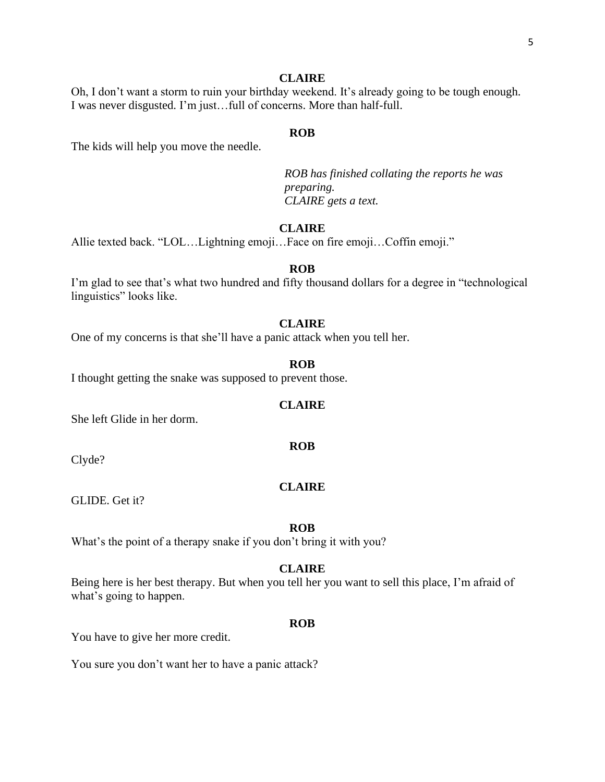Oh, I don't want a storm to ruin your birthday weekend. It's already going to be tough enough. I was never disgusted. I'm just…full of concerns. More than half-full.

#### **ROB**

The kids will help you move the needle.

*ROB has finished collating the reports he was preparing. CLAIRE gets a text.*

# **CLAIRE**

Allie texted back. "LOL…Lightning emoji…Face on fire emoji…Coffin emoji."

#### **ROB**

I'm glad to see that's what two hundred and fifty thousand dollars for a degree in "technological linguistics" looks like.

#### **CLAIRE**

One of my concerns is that she'll have a panic attack when you tell her.

# **ROB**

I thought getting the snake was supposed to prevent those.

#### **CLAIRE**

She left Glide in her dorm.

Clyde?

#### **CLAIRE**

**ROB**

GLIDE. Get it?

#### **ROB**

What's the point of a therapy snake if you don't bring it with you?

#### **CLAIRE**

Being here is her best therapy. But when you tell her you want to sell this place, I'm afraid of what's going to happen.

#### **ROB**

You have to give her more credit.

You sure you don't want her to have a panic attack?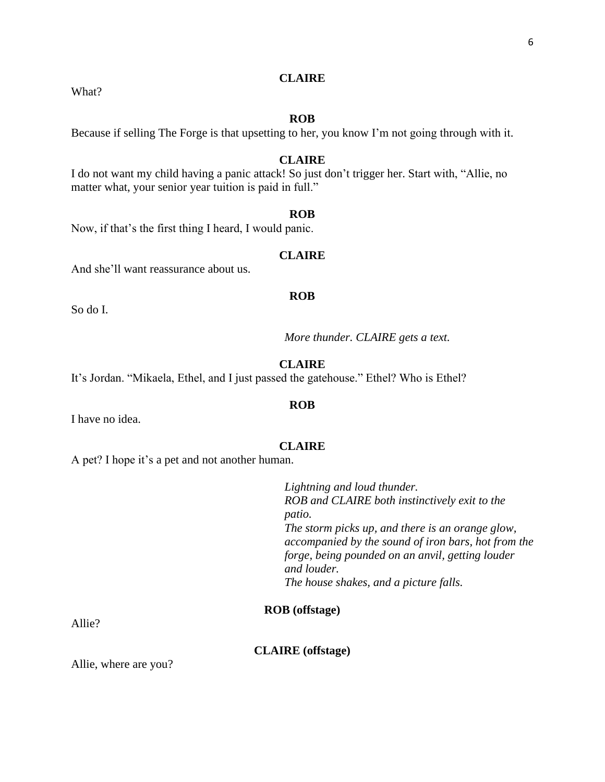What?

# **ROB**

Because if selling The Forge is that upsetting to her, you know I'm not going through with it.

#### **CLAIRE**

I do not want my child having a panic attack! So just don't trigger her. Start with, "Allie, no matter what, your senior year tuition is paid in full."

#### **ROB**

Now, if that's the first thing I heard, I would panic.

# **CLAIRE**

And she'll want reassurance about us.

#### **ROB**

So do I.

*More thunder. CLAIRE gets a text.* 

**CLAIRE**

It's Jordan. "Mikaela, Ethel, and I just passed the gatehouse." Ethel? Who is Ethel?

I have no idea.

# **CLAIRE**

**ROB**

A pet? I hope it's a pet and not another human.

*Lightning and loud thunder. ROB and CLAIRE both instinctively exit to the patio. The storm picks up, and there is an orange glow, accompanied by the sound of iron bars, hot from the forge, being pounded on an anvil, getting louder and louder. The house shakes, and a picture falls.*

# **ROB (offstage)**

Allie?

**CLAIRE (offstage)**

Allie, where are you?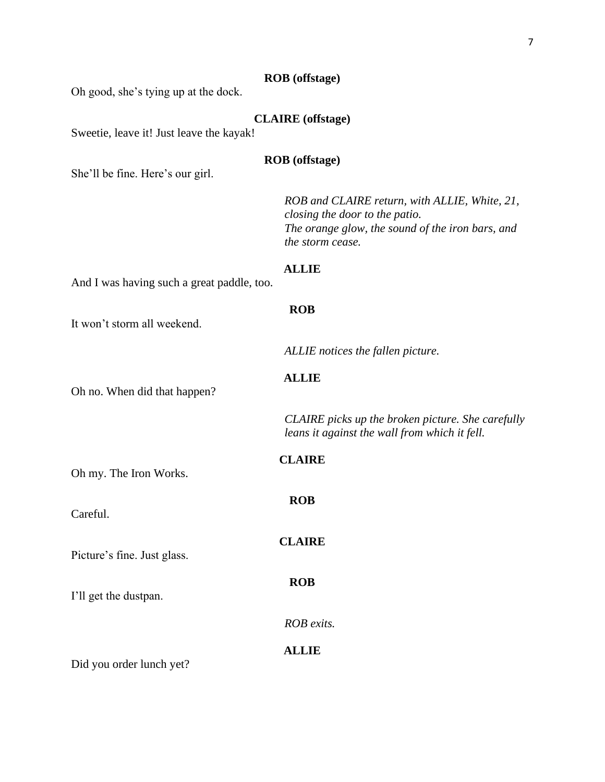# **ROB (offstage)**

Oh good, she's tying up at the dock.

# **CLAIRE (offstage)**

Sweetie, leave it! Just leave the kayak!

# **ROB (offstage)**

She'll be fine. Here's our girl.

*ROB and CLAIRE return, with ALLIE, White, 21, closing the door to the patio. The orange glow, the sound of the iron bars, and the storm cease.* 

#### **ALLIE**

**ROB**

**ALLIE**

And I was having such a great paddle, too.

It won't storm all weekend.

Oh no. When did that happen?

*CLAIRE picks up the broken picture. She carefully which it fell.* 

*ALLIE notices the fallen picture.*

|                             | CLAIRE picks up the broken p<br>leans it against the wall from |
|-----------------------------|----------------------------------------------------------------|
| Oh my. The Iron Works.      | <b>CLAIRE</b>                                                  |
| Careful.                    | <b>ROB</b>                                                     |
| Picture's fine. Just glass. | <b>CLAIRE</b>                                                  |
| I'll get the dustpan.       | <b>ROB</b>                                                     |
|                             | ROB exits.                                                     |
| Did you order lunch yet?    | <b>ALLIE</b>                                                   |

Did you order lunch yet?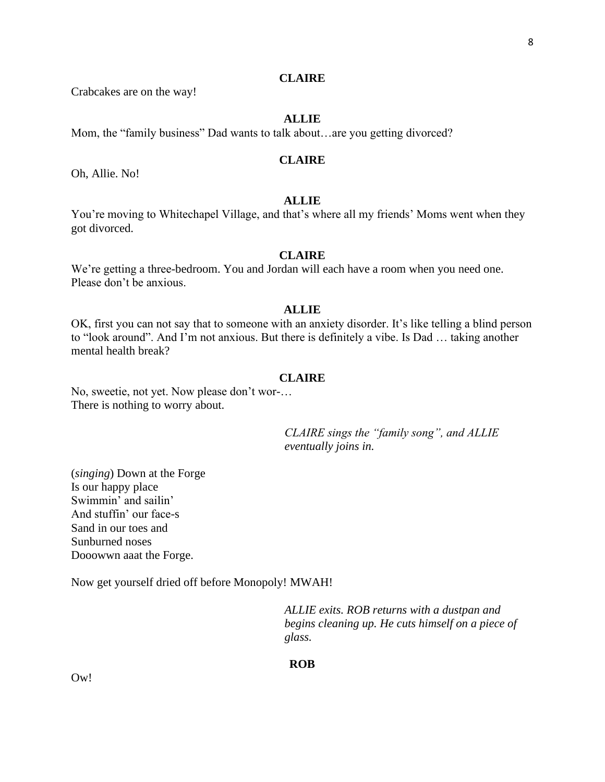Crabcakes are on the way!

# **ALLIE**

Mom, the "family business" Dad wants to talk about…are you getting divorced?

# **CLAIRE**

Oh, Allie. No!

# **ALLIE**

You're moving to Whitechapel Village, and that's where all my friends' Moms went when they got divorced.

# **CLAIRE**

We're getting a three-bedroom. You and Jordan will each have a room when you need one. Please don't be anxious.

# **ALLIE**

OK, first you can not say that to someone with an anxiety disorder. It's like telling a blind person to "look around". And I'm not anxious. But there is definitely a vibe. Is Dad … taking another mental health break?

#### **CLAIRE**

No, sweetie, not yet. Now please don't wor-… There is nothing to worry about.

> *CLAIRE sings the "family song", and ALLIE eventually joins in.*

(*singing*) Down at the Forge Is our happy place Swimmin' and sailin' And stuffin' our face-s Sand in our toes and Sunburned noses Dooowwn aaat the Forge.

Now get yourself dried off before Monopoly! MWAH!

*ALLIE exits. ROB returns with a dustpan and begins cleaning up. He cuts himself on a piece of glass.*

**ROB**

Ow!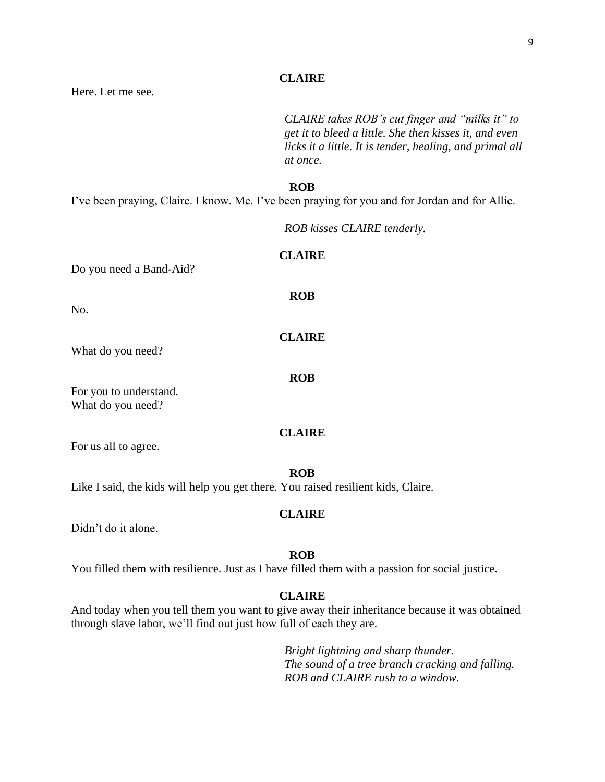Here. Let me see.

*CLAIRE takes ROB's cut finger and "milks it" to get it to bleed a little. She then kisses it, and even licks it a little. It is tender, healing, and primal all at once.*

#### **ROB**

**CLAIRE**

**ROB**

**CLAIRE**

**ROB**

I've been praying, Claire. I know. Me. I've been praying for you and for Jordan and for Allie.

*ROB kisses CLAIRE tenderly.*

#### Do you need a Band-Aid?

No.

What do you need?

For you to understand. What do you need?

#### **CLAIRE**

For us all to agree.

#### **ROB**

Like I said, the kids will help you get there. You raised resilient kids, Claire.

#### **CLAIRE**

Didn't do it alone.

# **ROB**

You filled them with resilience. Just as I have filled them with a passion for social justice.

# **CLAIRE**

And today when you tell them you want to give away their inheritance because it was obtained through slave labor, we'll find out just how full of each they are.

> *Bright lightning and sharp thunder. The sound of a tree branch cracking and falling. ROB and CLAIRE rush to a window.*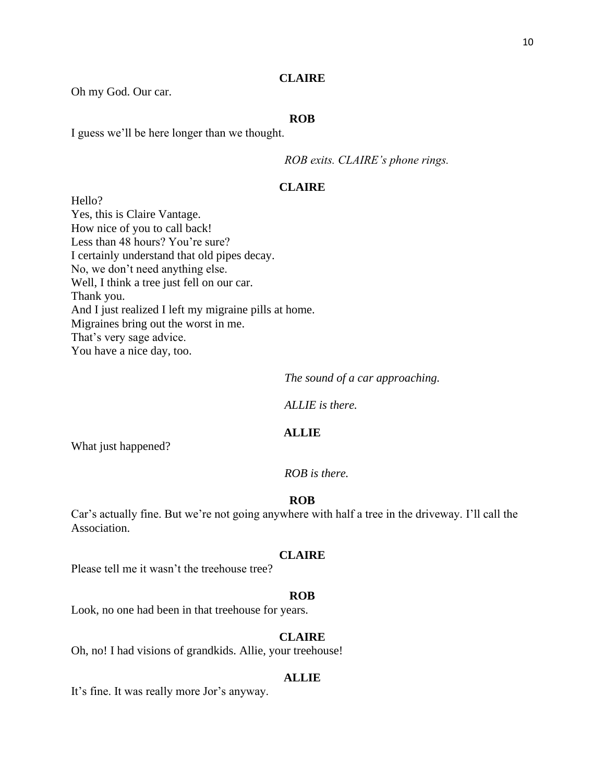Oh my God. Our car.

# **ROB**

I guess we'll be here longer than we thought.

*ROB exits. CLAIRE's phone rings.* 

# **CLAIRE**

Hello? Yes, this is Claire Vantage. How nice of you to call back! Less than 48 hours? You're sure? I certainly understand that old pipes decay. No, we don't need anything else. Well, I think a tree just fell on our car. Thank you. And I just realized I left my migraine pills at home. Migraines bring out the worst in me. That's very sage advice. You have a nice day, too.

*The sound of a car approaching.*

*ALLIE is there.*

#### **ALLIE**

What just happened?

*ROB is there.*

# **ROB**

Car's actually fine. But we're not going anywhere with half a tree in the driveway. I'll call the Association.

#### **CLAIRE**

Please tell me it wasn't the treehouse tree?

#### **ROB**

Look, no one had been in that treehouse for years.

# **CLAIRE**

Oh, no! I had visions of grandkids. Allie, your treehouse!

#### **ALLIE**

It's fine. It was really more Jor's anyway.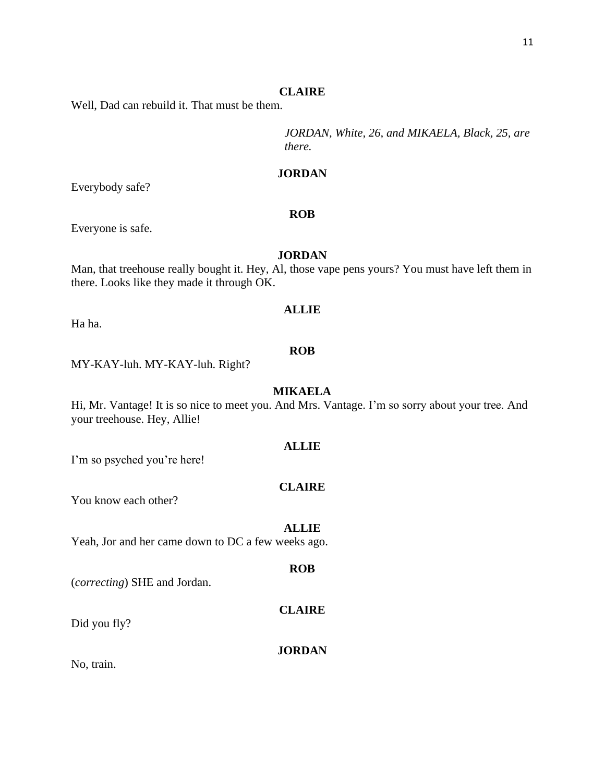Well, Dad can rebuild it. That must be them.

*JORDAN, White, 26, and MIKAELA, Black, 25, are there.*

# **JORDAN**

**ROB**

Everybody safe?

Everyone is safe.

# **JORDAN**

Man, that treehouse really bought it. Hey, Al, those vape pens yours? You must have left them in there. Looks like they made it through OK.

# **ALLIE**

Ha ha.

# **ROB**

MY-KAY-luh. MY-KAY-luh. Right?

# **MIKAELA**

Hi, Mr. Vantage! It is so nice to meet you. And Mrs. Vantage. I'm so sorry about your tree. And your treehouse. Hey, Allie!

# **ALLIE**

I'm so psyched you're here!

# **CLAIRE**

You know each other?

#### **ALLIE**

Yeah, Jor and her came down to DC a few weeks ago.

#### **ROB**

(*correcting*) SHE and Jordan.

# **CLAIRE**

Did you fly?

# **JORDAN**

No, train.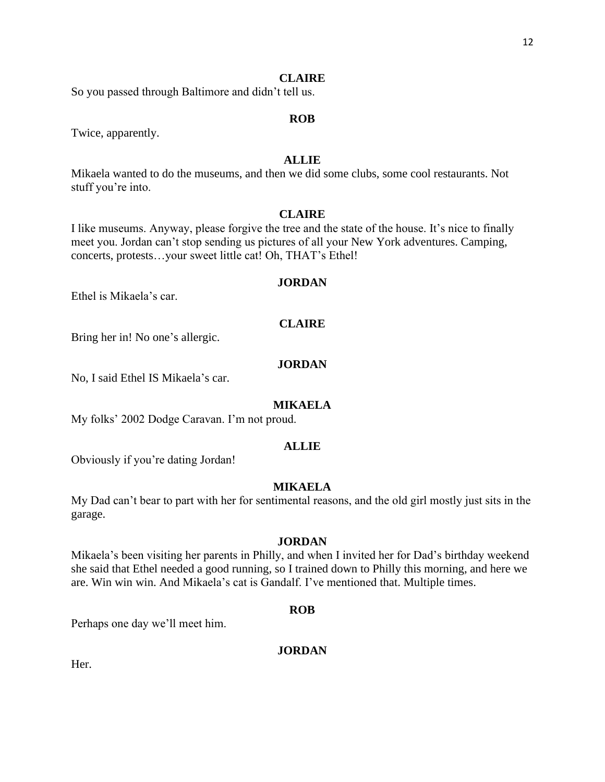So you passed through Baltimore and didn't tell us.

# **ROB**

Twice, apparently.

# **ALLIE**

Mikaela wanted to do the museums, and then we did some clubs, some cool restaurants. Not stuff you're into.

# **CLAIRE**

I like museums. Anyway, please forgive the tree and the state of the house. It's nice to finally meet you. Jordan can't stop sending us pictures of all your New York adventures. Camping, concerts, protests…your sweet little cat! Oh, THAT's Ethel!

#### **JORDAN**

Ethel is Mikaela's car.

# **CLAIRE**

Bring her in! No one's allergic.

# **JORDAN**

No, I said Ethel IS Mikaela's car.

#### **MIKAELA**

My folks' 2002 Dodge Caravan. I'm not proud.

# **ALLIE**

Obviously if you're dating Jordan!

# **MIKAELA**

My Dad can't bear to part with her for sentimental reasons, and the old girl mostly just sits in the garage.

#### **JORDAN**

Mikaela's been visiting her parents in Philly, and when I invited her for Dad's birthday weekend she said that Ethel needed a good running, so I trained down to Philly this morning, and here we are. Win win win. And Mikaela's cat is Gandalf. I've mentioned that. Multiple times.

#### **ROB**

Perhaps one day we'll meet him.

# **JORDAN**

Her.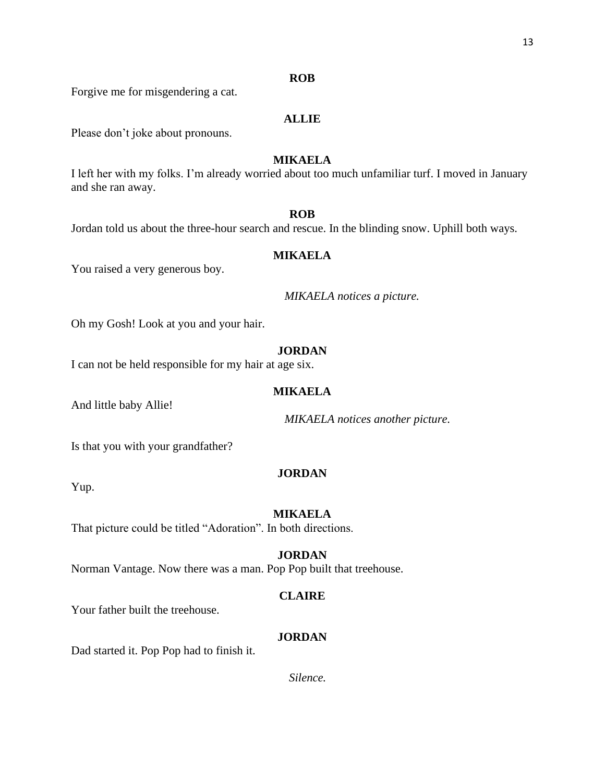Forgive me for misgendering a cat.

# **ALLIE**

**ROB**

Please don't joke about pronouns.

# **MIKAELA**

I left her with my folks. I'm already worried about too much unfamiliar turf. I moved in January and she ran away.

# **ROB**

Jordan told us about the three-hour search and rescue. In the blinding snow. Uphill both ways.

# **MIKAELA**

You raised a very generous boy.

*MIKAELA notices a picture.*

Oh my Gosh! Look at you and your hair.

# **JORDAN**

I can not be held responsible for my hair at age six.

# **MIKAELA**

And little baby Allie!

*MIKAELA notices another picture.*

Is that you with your grandfather?

# **JORDAN**

Yup.

# **MIKAELA**

That picture could be titled "Adoration". In both directions.

# **JORDAN**

Norman Vantage. Now there was a man. Pop Pop built that treehouse.

# **CLAIRE**

Your father built the treehouse.

# **JORDAN**

Dad started it. Pop Pop had to finish it.

*Silence.*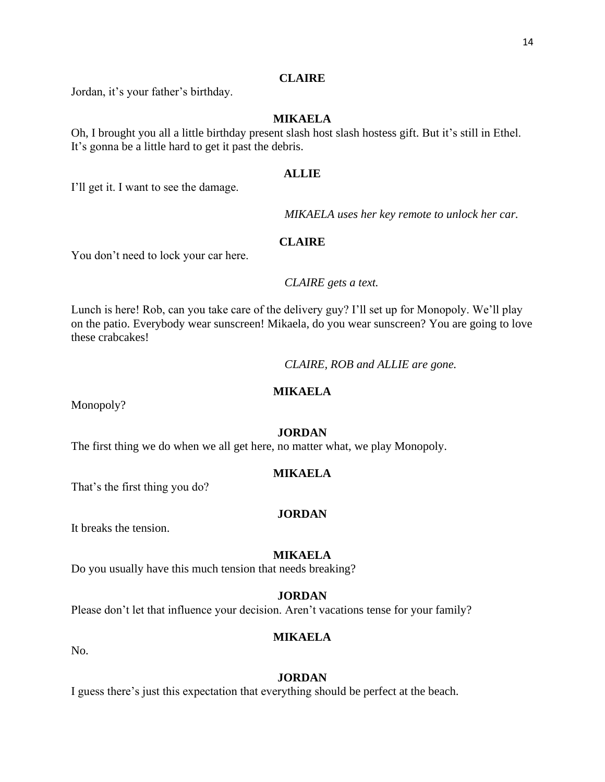Jordan, it's your father's birthday.

# **MIKAELA**

Oh, I brought you all a little birthday present slash host slash hostess gift. But it's still in Ethel. It's gonna be a little hard to get it past the debris.

# **ALLIE**

I'll get it. I want to see the damage.

*MIKAELA uses her key remote to unlock her car.*

# **CLAIRE**

You don't need to lock your car here.

# *CLAIRE gets a text.*

Lunch is here! Rob, can you take care of the delivery guy? I'll set up for Monopoly. We'll play on the patio. Everybody wear sunscreen! Mikaela, do you wear sunscreen? You are going to love these crabcakes!

*CLAIRE, ROB and ALLIE are gone.*

# **MIKAELA**

Monopoly?

# **JORDAN**

The first thing we do when we all get here, no matter what, we play Monopoly.

# **MIKAELA**

That's the first thing you do?

# **JORDAN**

It breaks the tension.

# **MIKAELA**

Do you usually have this much tension that needs breaking?

# **JORDAN**

Please don't let that influence your decision. Aren't vacations tense for your family?

# **MIKAELA**

No.

# **JORDAN**

I guess there's just this expectation that everything should be perfect at the beach.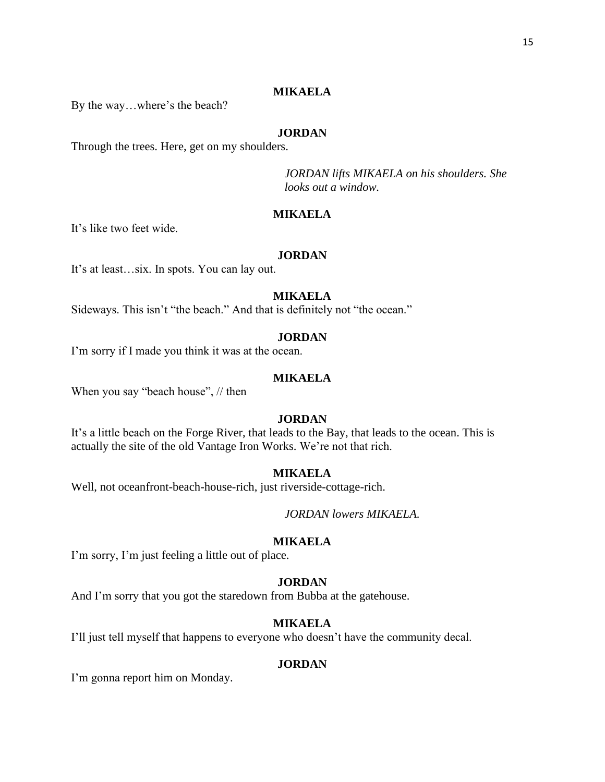# **MIKAELA**

By the way…where's the beach?

# **JORDAN**

Through the trees. Here, get on my shoulders.

*JORDAN lifts MIKAELA on his shoulders. She looks out a window.*

#### **MIKAELA**

It's like two feet wide.

# **JORDAN**

It's at least…six. In spots. You can lay out.

# **MIKAELA**

Sideways. This isn't "the beach." And that is definitely not "the ocean."

# **JORDAN**

I'm sorry if I made you think it was at the ocean.

# **MIKAELA**

When you say "beach house", // then

# **JORDAN**

It's a little beach on the Forge River, that leads to the Bay, that leads to the ocean. This is actually the site of the old Vantage Iron Works. We're not that rich.

# **MIKAELA**

Well, not oceanfront-beach-house-rich, just riverside-cottage-rich.

*JORDAN lowers MIKAELA.*

#### **MIKAELA**

I'm sorry, I'm just feeling a little out of place.

# **JORDAN**

And I'm sorry that you got the staredown from Bubba at the gatehouse.

# **MIKAELA**

I'll just tell myself that happens to everyone who doesn't have the community decal.

#### **JORDAN**

I'm gonna report him on Monday.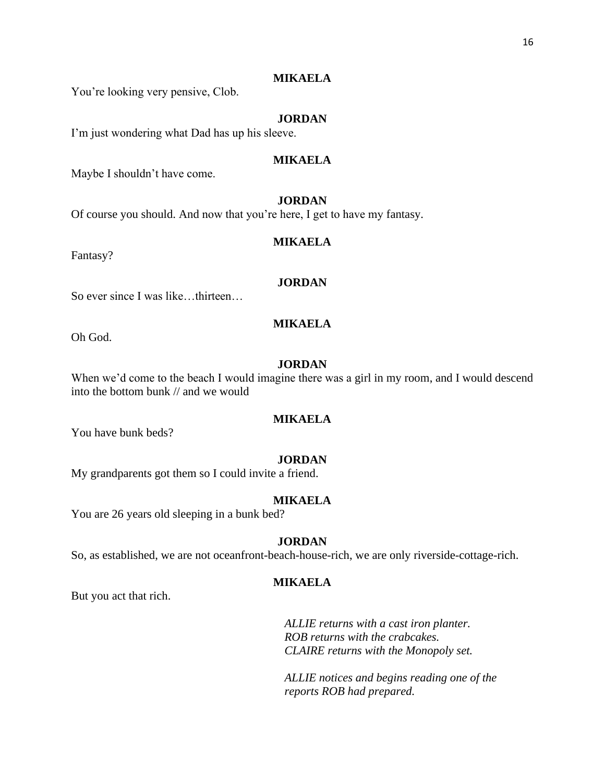# **MIKAELA**

You're looking very pensive, Clob.

# **JORDAN**

I'm just wondering what Dad has up his sleeve.

# **MIKAELA**

Maybe I shouldn't have come.

# **JORDAN**

Of course you should. And now that you're here, I get to have my fantasy.

#### **MIKAELA**

Fantasy?

# **JORDAN**

So ever since I was like…thirteen…

# **MIKAELA**

Oh God.

# **JORDAN**

When we'd come to the beach I would imagine there was a girl in my room, and I would descend into the bottom bunk // and we would

# **MIKAELA**

You have bunk beds?

#### **JORDAN**

My grandparents got them so I could invite a friend.

#### **MIKAELA**

You are 26 years old sleeping in a bunk bed?

# **JORDAN**

So, as established, we are not oceanfront-beach-house-rich, we are only riverside-cottage-rich.

# **MIKAELA**

But you act that rich.

*ALLIE returns with a cast iron planter. ROB returns with the crabcakes. CLAIRE returns with the Monopoly set.*

*ALLIE notices and begins reading one of the reports ROB had prepared.*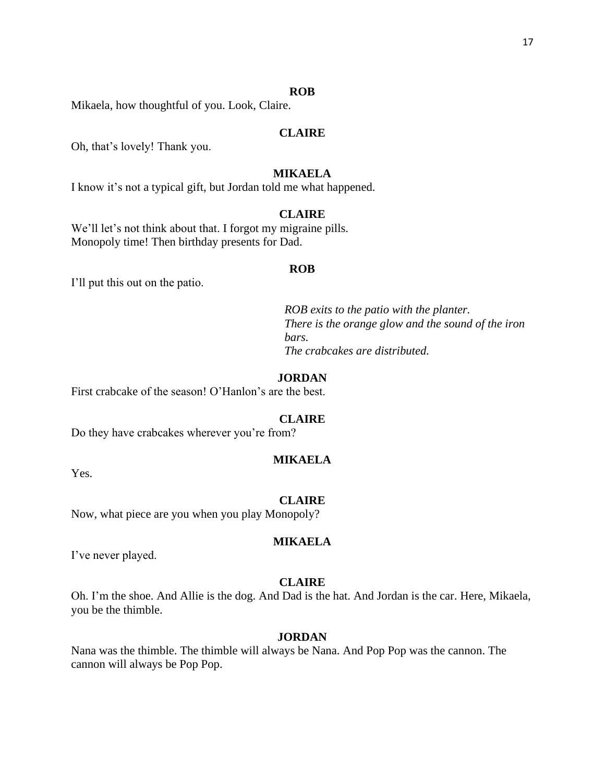#### **ROB**

Mikaela, how thoughtful of you. Look, Claire.

# **CLAIRE**

Oh, that's lovely! Thank you.

# **MIKAELA**

I know it's not a typical gift, but Jordan told me what happened.

# **CLAIRE**

We'll let's not think about that. I forgot my migraine pills. Monopoly time! Then birthday presents for Dad.

#### **ROB**

I'll put this out on the patio.

*ROB exits to the patio with the planter. There is the orange glow and the sound of the iron bars. The crabcakes are distributed.*

# **JORDAN**

First crabcake of the season! O'Hanlon's are the best.

# **CLAIRE**

Do they have crabcakes wherever you're from?

#### **MIKAELA**

Yes.

#### **CLAIRE**

Now, what piece are you when you play Monopoly?

#### **MIKAELA**

I've never played.

#### **CLAIRE**

Oh. I'm the shoe. And Allie is the dog. And Dad is the hat. And Jordan is the car. Here, Mikaela, you be the thimble.

# **JORDAN**

Nana was the thimble. The thimble will always be Nana. And Pop Pop was the cannon. The cannon will always be Pop Pop.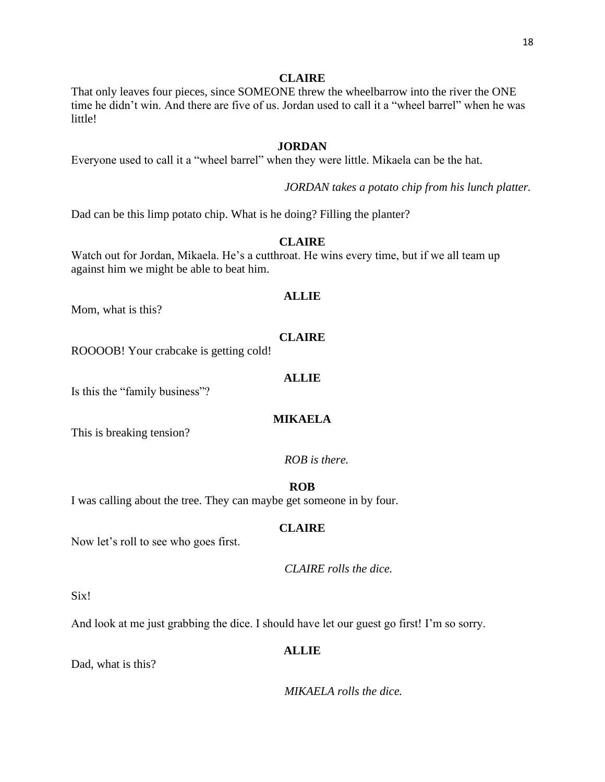That only leaves four pieces, since SOMEONE threw the wheelbarrow into the river the ONE time he didn't win. And there are five of us. Jordan used to call it a "wheel barrel" when he was little!

# **JORDAN**

Everyone used to call it a "wheel barrel" when they were little. Mikaela can be the hat.

*JORDAN takes a potato chip from his lunch platter.*

Dad can be this limp potato chip. What is he doing? Filling the planter?

# **CLAIRE**

Watch out for Jordan, Mikaela. He's a cutthroat. He wins every time, but if we all team up against him we might be able to beat him.

# **ALLIE**

Mom, what is this?

# **CLAIRE**

ROOOOB! Your crabcake is getting cold!

#### **ALLIE**

Is this the "family business"?

# **MIKAELA**

This is breaking tension?

# *ROB is there.*

# **ROB**

I was calling about the tree. They can maybe get someone in by four.

# **CLAIRE**

Now let's roll to see who goes first.

*CLAIRE rolls the dice.*

Six!

And look at me just grabbing the dice. I should have let our guest go first! I'm so sorry.

#### **ALLIE**

Dad, what is this?

*MIKAELA rolls the dice.*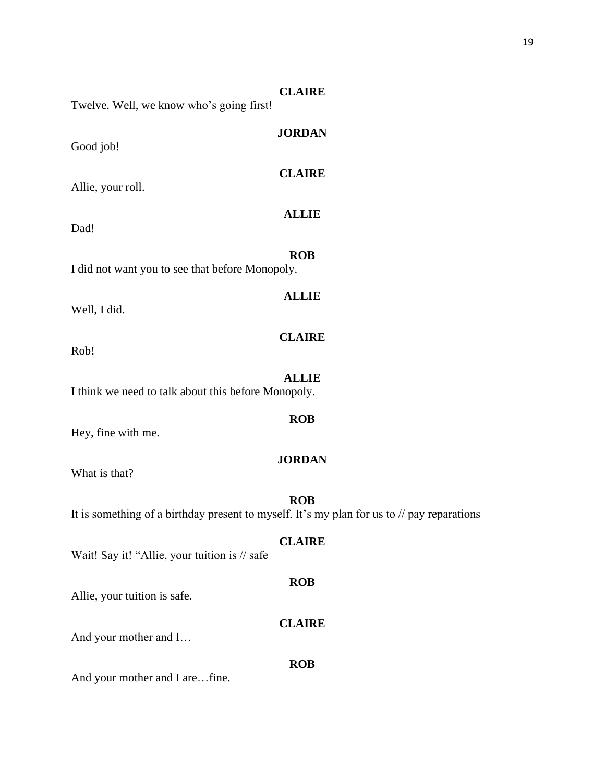| Twelve. Well, we know who's going first!            | <b>CLAIRE</b>                                                                                                       |
|-----------------------------------------------------|---------------------------------------------------------------------------------------------------------------------|
| Good job!                                           | <b>JORDAN</b>                                                                                                       |
| Allie, your roll.                                   | <b>CLAIRE</b>                                                                                                       |
| Dad!                                                | <b>ALLIE</b>                                                                                                        |
| I did not want you to see that before Monopoly.     | <b>ROB</b>                                                                                                          |
| Well, I did.                                        | <b>ALLIE</b>                                                                                                        |
| Rob!                                                | <b>CLAIRE</b>                                                                                                       |
| I think we need to talk about this before Monopoly. | <b>ALLIE</b>                                                                                                        |
| Hey, fine with me.                                  | <b>ROB</b>                                                                                                          |
| What is that?                                       | <b>JORDAN</b>                                                                                                       |
|                                                     | <b>ROB</b><br>It is something of a birthday present to myself. It's my plan for us to $\frac{1}{2}$ pay reparations |
| Wait! Say it! "Allie, your tuition is // safe       | <b>CLAIRE</b>                                                                                                       |
| Allie, your tuition is safe.                        | <b>ROB</b>                                                                                                          |
| And your mother and I                               | <b>CLAIRE</b>                                                                                                       |
|                                                     | <b>ROB</b>                                                                                                          |
| And your mother and I arefine.                      |                                                                                                                     |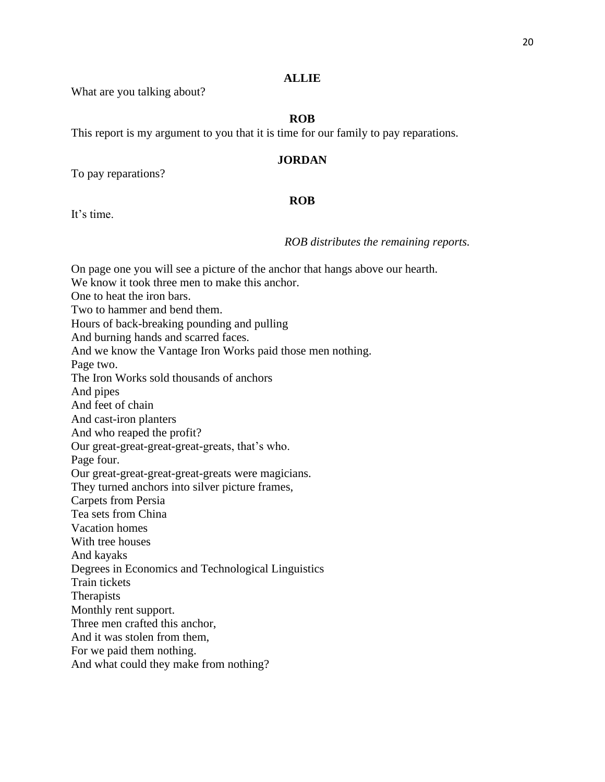# **ALLIE**

What are you talking about?

# **ROB**

This report is my argument to you that it is time for our family to pay reparations.

# **JORDAN**

To pay reparations?

# **ROB**

It's time.

*ROB distributes the remaining reports.*

On page one you will see a picture of the anchor that hangs above our hearth. We know it took three men to make this anchor. One to heat the iron bars. Two to hammer and bend them. Hours of back-breaking pounding and pulling And burning hands and scarred faces. And we know the Vantage Iron Works paid those men nothing. Page two. The Iron Works sold thousands of anchors And pipes And feet of chain And cast-iron planters And who reaped the profit? Our great-great-great-great-greats, that's who. Page four. Our great-great-great-great-greats were magicians. They turned anchors into silver picture frames, Carpets from Persia Tea sets from China Vacation homes With tree houses And kayaks Degrees in Economics and Technological Linguistics Train tickets **Therapists** Monthly rent support. Three men crafted this anchor, And it was stolen from them, For we paid them nothing. And what could they make from nothing?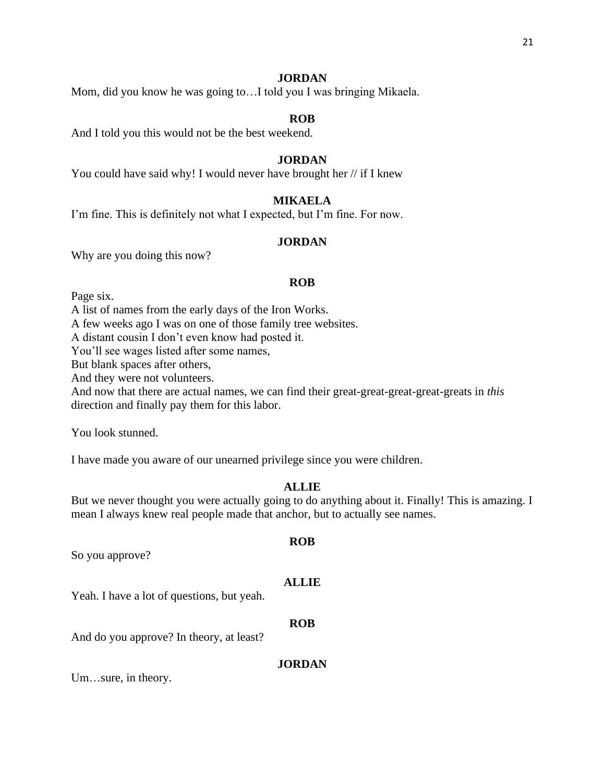Mom, did you know he was going to…I told you I was bringing Mikaela.

#### **ROB**

And I told you this would not be the best weekend.

#### **JORDAN**

You could have said why! I would never have brought her  $//$  if I knew

# **MIKAELA**

I'm fine. This is definitely not what I expected, but I'm fine. For now.

#### **JORDAN**

Why are you doing this now?

#### **ROB**

Page six.

A list of names from the early days of the Iron Works.

A few weeks ago I was on one of those family tree websites.

A distant cousin I don't even know had posted it.

You'll see wages listed after some names,

But blank spaces after others,

And they were not volunteers.

And now that there are actual names, we can find their great-great-great-great-greats in *this* direction and finally pay them for this labor.

You look stunned.

I have made you aware of our unearned privilege since you were children.

#### **ALLIE**

But we never thought you were actually going to do anything about it. Finally! This is amazing. I mean I always knew real people made that anchor, but to actually see names.

**ROB**

So you approve?

# **ALLIE**

Yeah. I have a lot of questions, but yeah.

**ROB**

And do you approve? In theory, at least?

#### **JORDAN**

Um…sure, in theory.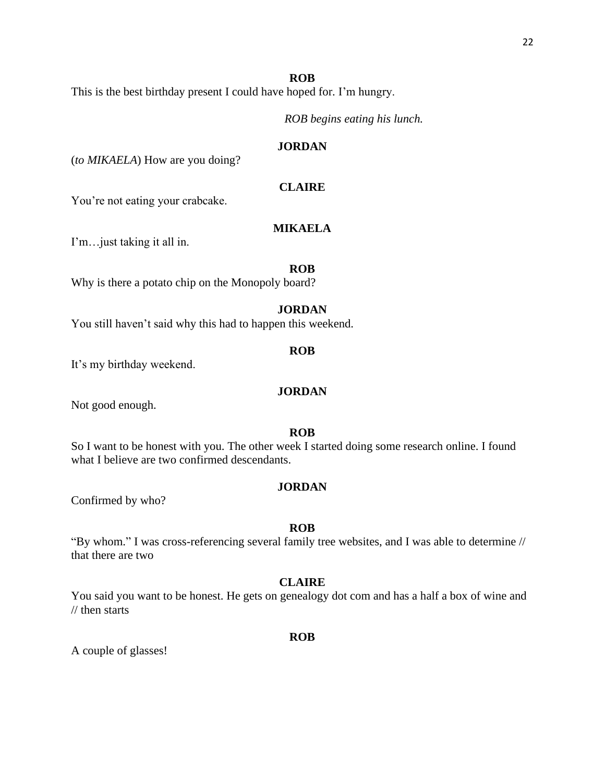# **ROB**

This is the best birthday present I could have hoped for. I'm hungry.

*ROB begins eating his lunch.*

# **JORDAN**

(*to MIKAELA*) How are you doing?

# **CLAIRE**

You're not eating your crabcake.

# **MIKAELA**

I'm…just taking it all in.

#### **ROB**

Why is there a potato chip on the Monopoly board?

#### **JORDAN**

You still haven't said why this had to happen this weekend.

#### **ROB**

It's my birthday weekend.

#### **JORDAN**

Not good enough.

# **ROB**

So I want to be honest with you. The other week I started doing some research online. I found what I believe are two confirmed descendants.

#### **JORDAN**

Confirmed by who?

# **ROB**

"By whom." I was cross-referencing several family tree websites, and I was able to determine // that there are two

#### **CLAIRE**

You said you want to be honest. He gets on genealogy dot com and has a half a box of wine and // then starts

#### **ROB**

A couple of glasses!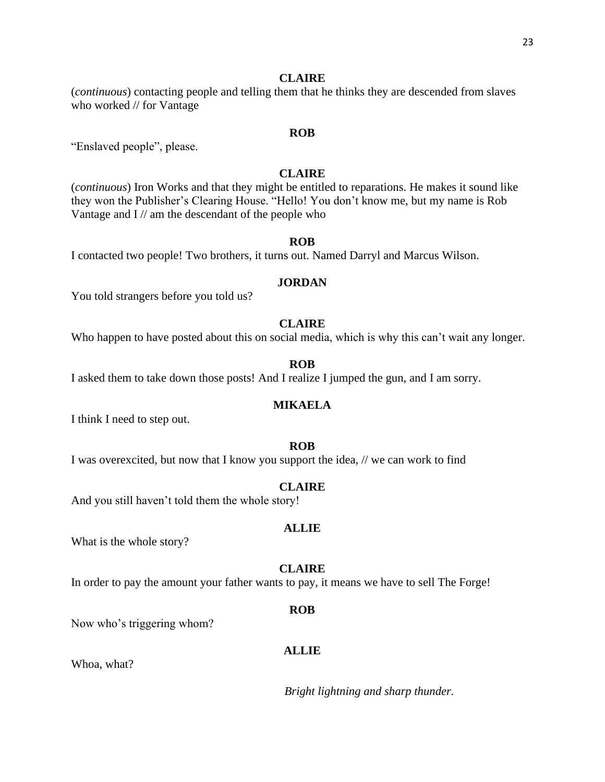(*continuous*) contacting people and telling them that he thinks they are descended from slaves who worked // for Vantage

#### **ROB**

"Enslaved people", please.

# **CLAIRE**

(*continuous*) Iron Works and that they might be entitled to reparations. He makes it sound like they won the Publisher's Clearing House. "Hello! You don't know me, but my name is Rob Vantage and I // am the descendant of the people who

#### **ROB**

I contacted two people! Two brothers, it turns out. Named Darryl and Marcus Wilson.

# **JORDAN**

You told strangers before you told us?

# **CLAIRE**

Who happen to have posted about this on social media, which is why this can't wait any longer.

# **ROB**

I asked them to take down those posts! And I realize I jumped the gun, and I am sorry.

# **MIKAELA**

I think I need to step out.

#### **ROB**

I was overexcited, but now that I know you support the idea, // we can work to find

#### **CLAIRE**

And you still haven't told them the whole story!

#### **ALLIE**

What is the whole story?

#### **CLAIRE**

In order to pay the amount your father wants to pay, it means we have to sell The Forge!

#### **ROB**

Now who's triggering whom?

# **ALLIE**

Whoa, what?

*Bright lightning and sharp thunder.*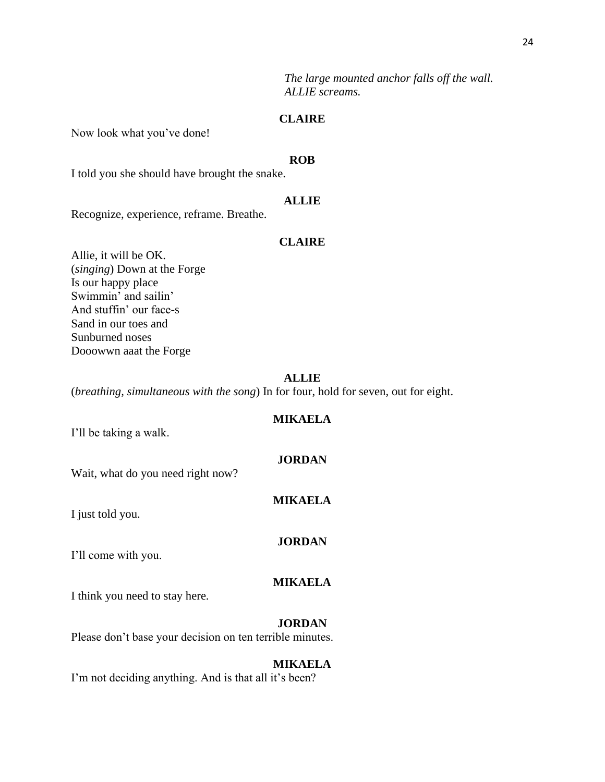*The large mounted anchor falls off the wall. ALLIE screams.*

# **CLAIRE**

Now look what you've done!

#### **ROB**

I told you she should have brought the snake.

#### **ALLIE**

Recognize, experience, reframe. Breathe.

#### **CLAIRE**

Allie, it will be OK. (*singing*) Down at the Forge Is our happy place Swimmin' and sailin' And stuffin' our face-s Sand in our toes and Sunburned noses Dooowwn aaat the Forge

# **ALLIE**

(*breathing, simultaneous with the song*) In for four, hold for seven, out for eight.

# **MIKAELA**

I'll be taking a walk.

#### **JORDAN**

Wait, what do you need right now?

#### **MIKAELA**

I just told you.

#### **JORDAN**

I'll come with you.

# **MIKAELA**

I think you need to stay here.

#### **JORDAN**

Please don't base your decision on ten terrible minutes.

#### **MIKAELA**

I'm not deciding anything. And is that all it's been?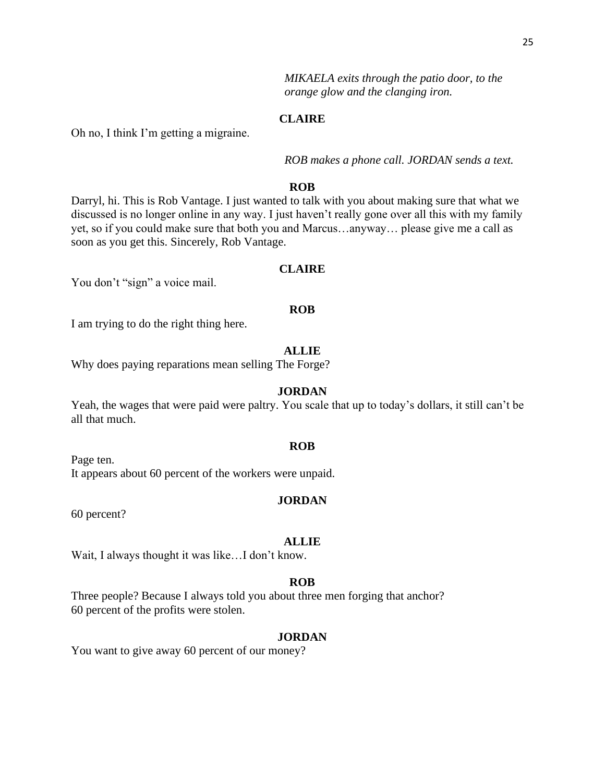*MIKAELA exits through the patio door, to the orange glow and the clanging iron.*

# **CLAIRE**

Oh no, I think I'm getting a migraine.

*ROB makes a phone call. JORDAN sends a text.*

# **ROB**

Darryl, hi. This is Rob Vantage. I just wanted to talk with you about making sure that what we discussed is no longer online in any way. I just haven't really gone over all this with my family yet, so if you could make sure that both you and Marcus…anyway… please give me a call as soon as you get this. Sincerely, Rob Vantage.

#### **CLAIRE**

You don't "sign" a voice mail.

#### **ROB**

I am trying to do the right thing here.

#### **ALLIE**

Why does paying reparations mean selling The Forge?

#### **JORDAN**

Yeah, the wages that were paid were paltry. You scale that up to today's dollars, it still can't be all that much.

#### **ROB**

Page ten. It appears about 60 percent of the workers were unpaid.

#### **JORDAN**

60 percent?

#### **ALLIE**

Wait, I always thought it was like...I don't know.

#### **ROB**

Three people? Because I always told you about three men forging that anchor? 60 percent of the profits were stolen.

#### **JORDAN**

You want to give away 60 percent of our money?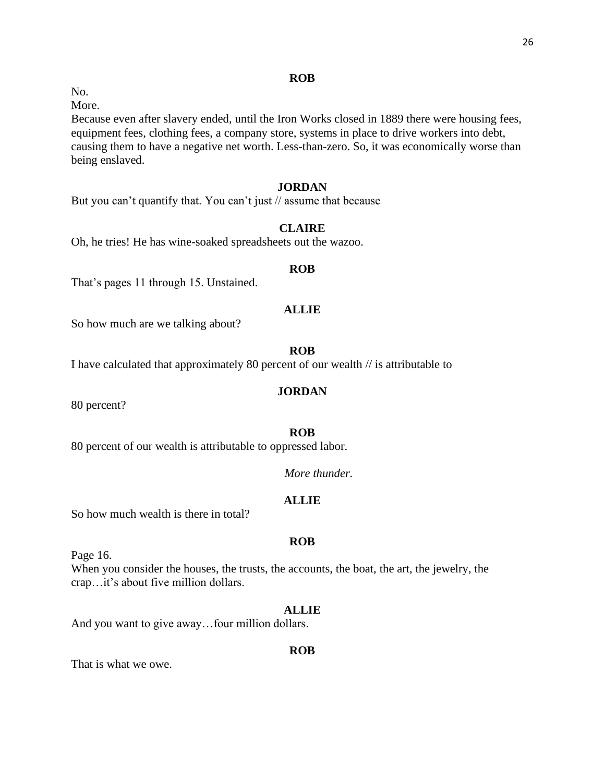# **ROB**

No.

More.

Because even after slavery ended, until the Iron Works closed in 1889 there were housing fees, equipment fees, clothing fees, a company store, systems in place to drive workers into debt, causing them to have a negative net worth. Less-than-zero. So, it was economically worse than being enslaved.

# **JORDAN**

But you can't quantify that. You can't just // assume that because

# **CLAIRE**

Oh, he tries! He has wine-soaked spreadsheets out the wazoo.

#### **ROB**

That's pages 11 through 15. Unstained.

# **ALLIE**

So how much are we talking about?

# **ROB**

I have calculated that approximately 80 percent of our wealth // is attributable to

# **JORDAN**

80 percent?

# **ROB**

80 percent of our wealth is attributable to oppressed labor.

# *More thunder.*

# **ALLIE**

So how much wealth is there in total?

# **ROB**

Page 16.

When you consider the houses, the trusts, the accounts, the boat, the art, the jewelry, the crap…it's about five million dollars.

#### **ALLIE**

And you want to give away…four million dollars.

#### **ROB**

That is what we owe.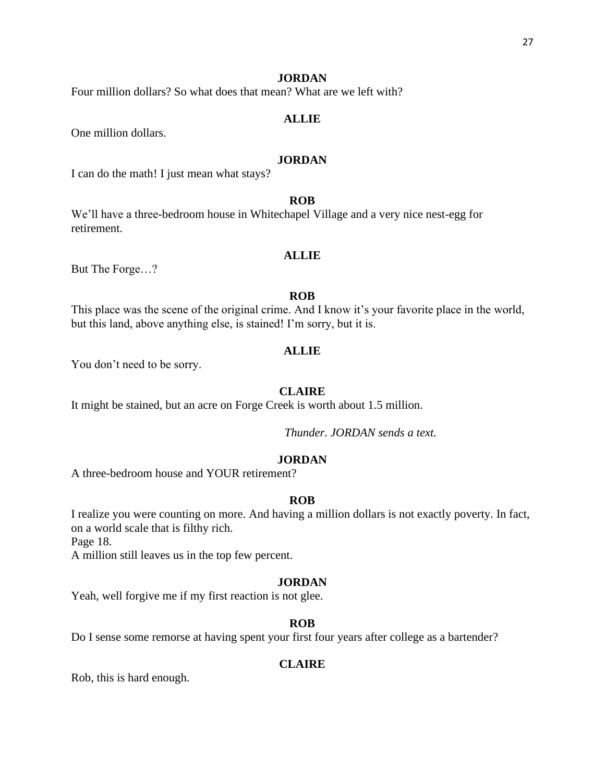Four million dollars? So what does that mean? What are we left with?

# **ALLIE**

One million dollars.

# **JORDAN**

I can do the math! I just mean what stays?

# **ROB**

We'll have a three-bedroom house in Whitechapel Village and a very nice nest-egg for retirement.

# **ALLIE**

But The Forge…?

# **ROB**

This place was the scene of the original crime. And I know it's your favorite place in the world, but this land, above anything else, is stained! I'm sorry, but it is.

#### **ALLIE**

You don't need to be sorry.

# **CLAIRE**

It might be stained, but an acre on Forge Creek is worth about 1.5 million.

*Thunder. JORDAN sends a text.*

# **JORDAN**

A three-bedroom house and YOUR retirement?

#### **ROB**

I realize you were counting on more. And having a million dollars is not exactly poverty. In fact, on a world scale that is filthy rich.

Page 18.

A million still leaves us in the top few percent.

# **JORDAN**

Yeah, well forgive me if my first reaction is not glee.

#### **ROB**

Do I sense some remorse at having spent your first four years after college as a bartender?

# **CLAIRE**

Rob, this is hard enough.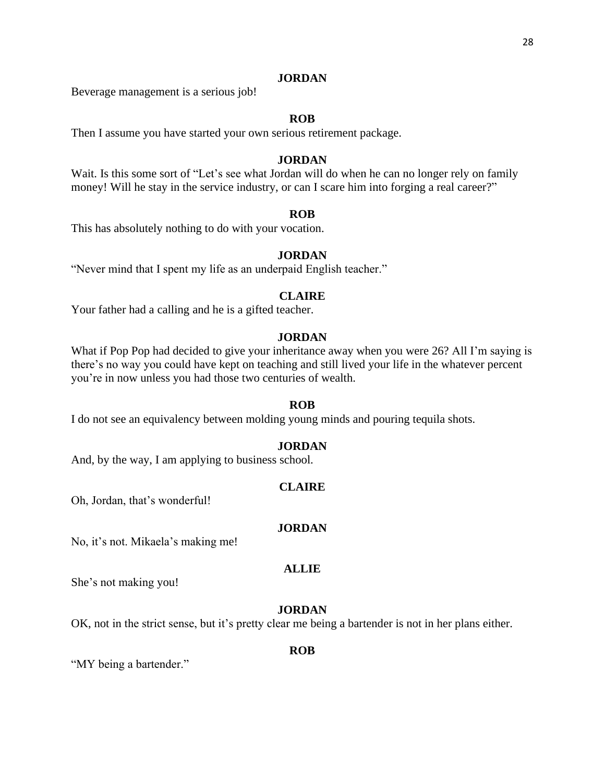Beverage management is a serious job!

# **ROB**

Then I assume you have started your own serious retirement package.

#### **JORDAN**

Wait. Is this some sort of "Let's see what Jordan will do when he can no longer rely on family money! Will he stay in the service industry, or can I scare him into forging a real career?"

#### **ROB**

This has absolutely nothing to do with your vocation.

# **JORDAN**

"Never mind that I spent my life as an underpaid English teacher."

# **CLAIRE**

Your father had a calling and he is a gifted teacher.

# **JORDAN**

What if Pop Pop had decided to give your inheritance away when you were 26? All I'm saying is there's no way you could have kept on teaching and still lived your life in the whatever percent you're in now unless you had those two centuries of wealth.

#### **ROB**

I do not see an equivalency between molding young minds and pouring tequila shots.

#### **JORDAN**

And, by the way, I am applying to business school.

#### **CLAIRE**

Oh, Jordan, that's wonderful!

#### **JORDAN**

No, it's not. Mikaela's making me!

#### **ALLIE**

She's not making you!

# **JORDAN**

OK, not in the strict sense, but it's pretty clear me being a bartender is not in her plans either.

#### **ROB**

"MY being a bartender."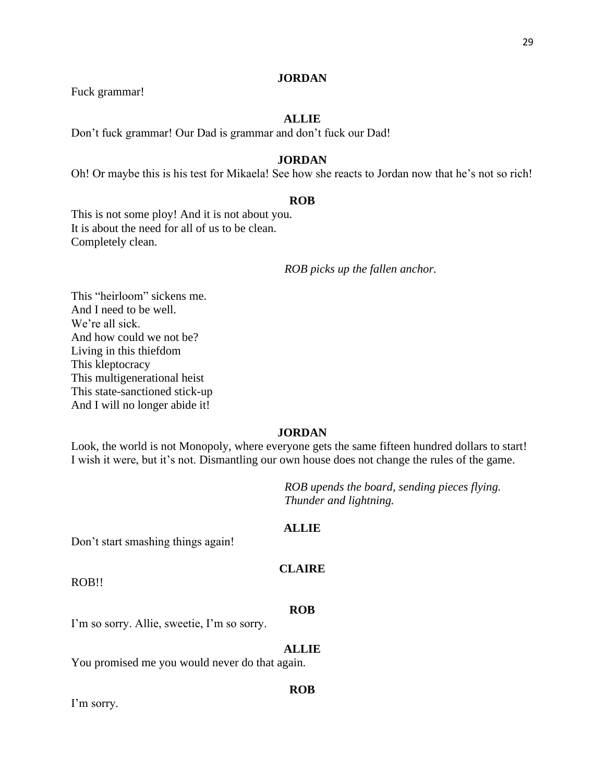Fuck grammar!

# **ALLIE**

Don't fuck grammar! Our Dad is grammar and don't fuck our Dad!

# **JORDAN**

Oh! Or maybe this is his test for Mikaela! See how she reacts to Jordan now that he's not so rich!

#### **ROB**

This is not some ploy! And it is not about you. It is about the need for all of us to be clean. Completely clean.

*ROB picks up the fallen anchor.*

This "heirloom" sickens me. And I need to be well. We're all sick. And how could we not be? Living in this thiefdom This kleptocracy This multigenerational heist This state-sanctioned stick-up And I will no longer abide it!

# **JORDAN**

Look, the world is not Monopoly, where everyone gets the same fifteen hundred dollars to start! I wish it were, but it's not. Dismantling our own house does not change the rules of the game.

> *ROB upends the board, sending pieces flying. Thunder and lightning.*

# **ALLIE**

Don't start smashing things again!

# **CLAIRE**

ROB!!

# **ROB**

I'm so sorry. Allie, sweetie, I'm so sorry.

#### **ALLIE**

You promised me you would never do that again.

I'm sorry.

# **ROB**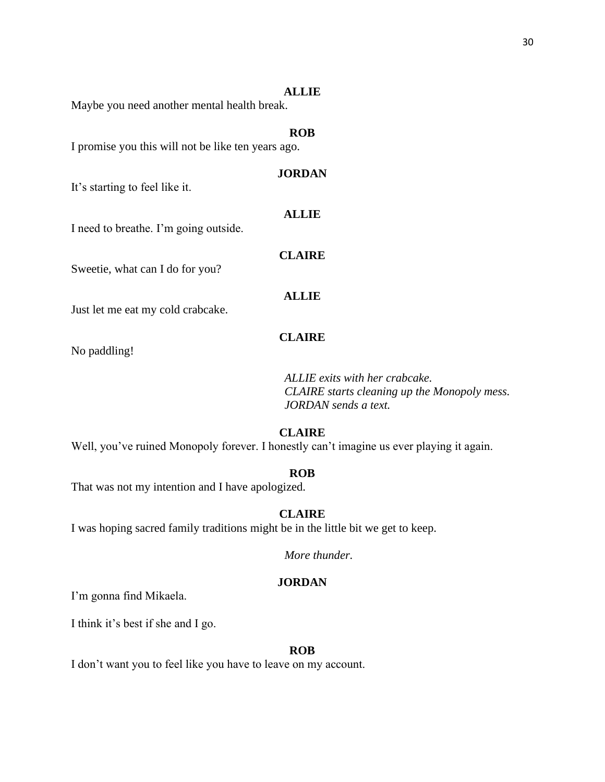#### **ALLIE**

**ROB**

**JORDAN**

**ALLIE**

Maybe you need another mental health break.

I promise you this will not be like ten years ago.

It's starting to feel like it.

I need to breathe. I'm going outside.

Sweetie, what can I do for you?

**CLAIRE**

**ALLIE**

Just let me eat my cold crabcake.

# **CLAIRE**

No paddling!

*ALLIE exits with her crabcake. CLAIRE starts cleaning up the Monopoly mess. JORDAN sends a text.*

# **CLAIRE**

Well, you've ruined Monopoly forever. I honestly can't imagine us ever playing it again.

# **ROB**

That was not my intention and I have apologized.

# **CLAIRE**

I was hoping sacred family traditions might be in the little bit we get to keep.

*More thunder.*

# **JORDAN**

I'm gonna find Mikaela.

I think it's best if she and I go.

#### **ROB**

I don't want you to feel like you have to leave on my account.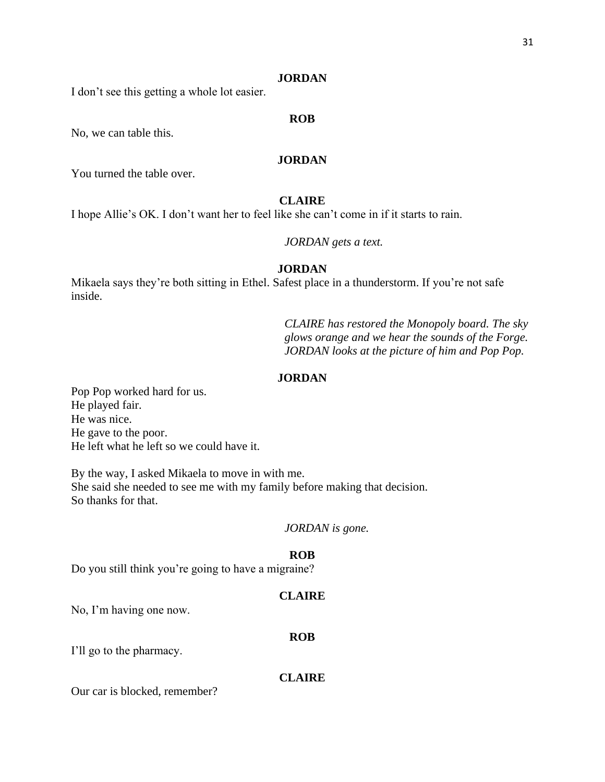I don't see this getting a whole lot easier.

# **ROB**

No, we can table this.

# **JORDAN**

You turned the table over.

# **CLAIRE**

I hope Allie's OK. I don't want her to feel like she can't come in if it starts to rain.

#### *JORDAN gets a text.*

# **JORDAN**

Mikaela says they're both sitting in Ethel. Safest place in a thunderstorm. If you're not safe inside.

> *CLAIRE has restored the Monopoly board. The sky glows orange and we hear the sounds of the Forge. JORDAN looks at the picture of him and Pop Pop.*

# **JORDAN**

Pop Pop worked hard for us. He played fair. He was nice. He gave to the poor. He left what he left so we could have it.

By the way, I asked Mikaela to move in with me. She said she needed to see me with my family before making that decision. So thanks for that.

# *JORDAN is gone.*

#### **ROB**

Do you still think you're going to have a migraine?

#### **CLAIRE**

**ROB**

No, I'm having one now.

# I'll go to the pharmacy.

#### **CLAIRE**

Our car is blocked, remember?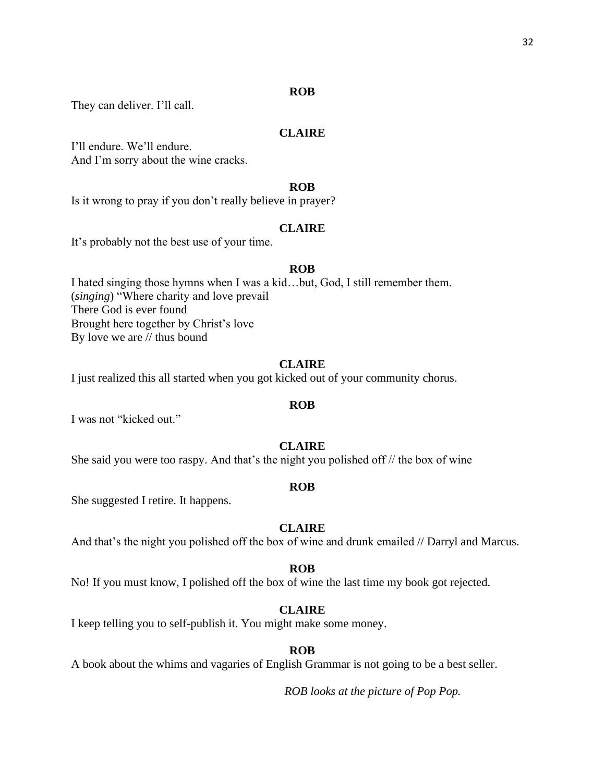# **ROB**

They can deliver. I'll call.

### **CLAIRE**

I'll endure. We'll endure. And I'm sorry about the wine cracks.

# **ROB**

Is it wrong to pray if you don't really believe in prayer?

# **CLAIRE**

It's probably not the best use of your time.

#### **ROB**

I hated singing those hymns when I was a kid…but, God, I still remember them. (*singing*) "Where charity and love prevail There God is ever found Brought here together by Christ's love By love we are // thus bound

# **CLAIRE**

I just realized this all started when you got kicked out of your community chorus.

#### **ROB**

I was not "kicked out."

# **CLAIRE**

She said you were too raspy. And that's the night you polished off // the box of wine

#### **ROB**

She suggested I retire. It happens.

# **CLAIRE**

And that's the night you polished off the box of wine and drunk emailed // Darryl and Marcus.

#### **ROB**

No! If you must know, I polished off the box of wine the last time my book got rejected.

#### **CLAIRE**

I keep telling you to self-publish it. You might make some money.

# **ROB**

A book about the whims and vagaries of English Grammar is not going to be a best seller.

*ROB looks at the picture of Pop Pop.*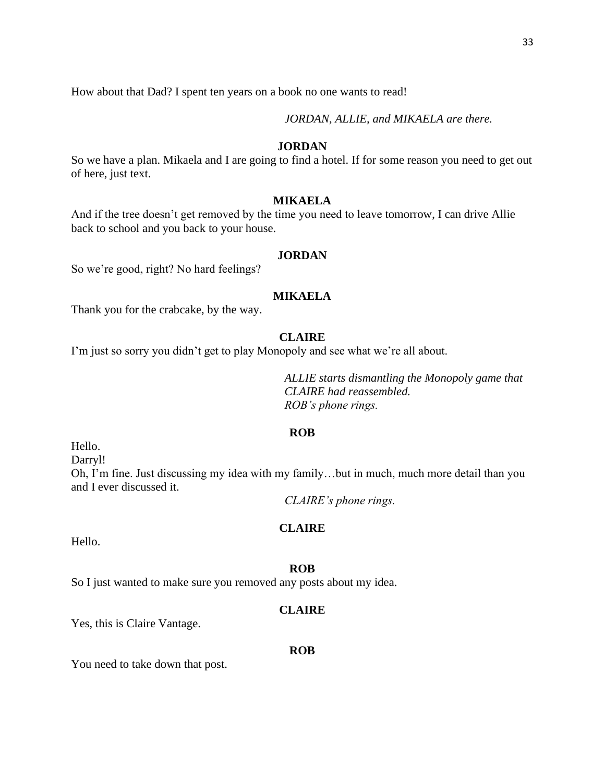How about that Dad? I spent ten years on a book no one wants to read!

*JORDAN, ALLIE, and MIKAELA are there.*

# **JORDAN**

So we have a plan. Mikaela and I are going to find a hotel. If for some reason you need to get out of here, just text.

# **MIKAELA**

And if the tree doesn't get removed by the time you need to leave tomorrow, I can drive Allie back to school and you back to your house.

#### **JORDAN**

So we're good, right? No hard feelings?

# **MIKAELA**

Thank you for the crabcake, by the way.

# **CLAIRE**

I'm just so sorry you didn't get to play Monopoly and see what we're all about.

*ALLIE starts dismantling the Monopoly game that CLAIRE had reassembled. ROB's phone rings.*

#### **ROB**

Hello.

Darryl!

Oh, I'm fine. Just discussing my idea with my family…but in much, much more detail than you and I ever discussed it.

*CLAIRE's phone rings.*

# **CLAIRE**

Hello.

#### **ROB**

So I just wanted to make sure you removed any posts about my idea.

# **CLAIRE**

Yes, this is Claire Vantage.

#### **ROB**

You need to take down that post.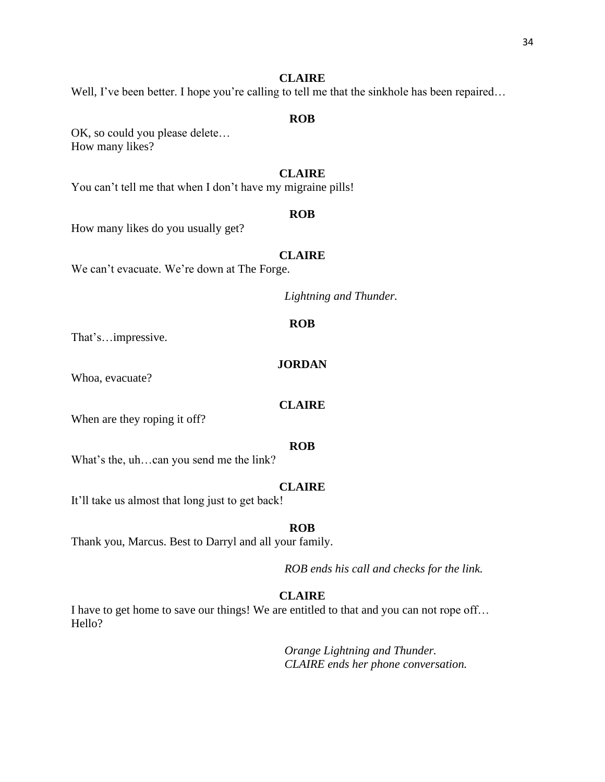Well, I've been better. I hope you're calling to tell me that the sinkhole has been repaired...

# **ROB**

OK, so could you please delete… How many likes?

# **CLAIRE**

You can't tell me that when I don't have my migraine pills!

#### **ROB**

How many likes do you usually get?

# **CLAIRE**

We can't evacuate. We're down at The Forge.

*Lightning and Thunder.*

# **ROB**

That's…impressive.

# **JORDAN**

Whoa, evacuate?

#### **CLAIRE**

When are they roping it off?

#### **ROB**

What's the, uh…can you send me the link?

#### **CLAIRE**

It'll take us almost that long just to get back!

# **ROB**

Thank you, Marcus. Best to Darryl and all your family.

*ROB ends his call and checks for the link.*

# **CLAIRE**

I have to get home to save our things! We are entitled to that and you can not rope off… Hello?

> *Orange Lightning and Thunder. CLAIRE ends her phone conversation.*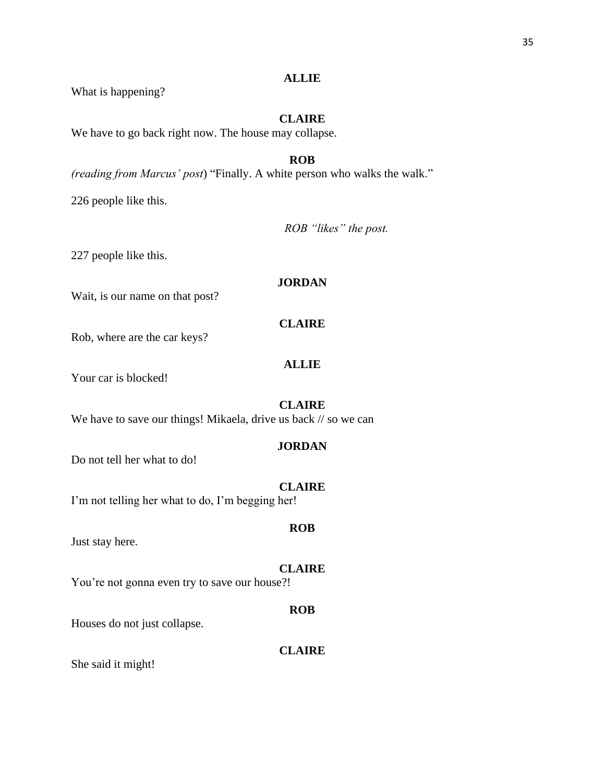# What is happening?

# **CLAIRE**

**ALLIE**

We have to go back right now. The house may collapse.

# **ROB**

*(reading from Marcus' post*) "Finally. A white person who walks the walk."

226 people like this.

*ROB "likes" the post.*

227 people like this.

# **JORDAN**

Wait, is our name on that post?

# **CLAIRE**

Rob, where are the car keys?

# **ALLIE**

Your car is blocked!

**CLAIRE** We have to save our things! Mikaela, drive us back // so we can

# **JORDAN**

Do not tell her what to do!

# **CLAIRE**

I'm not telling her what to do, I'm begging her!

Just stay here.

# **CLAIRE**

**ROB**

You're not gonna even try to save our house?!

# Houses do not just collapse.

# **CLAIRE**

**ROB**

She said it might!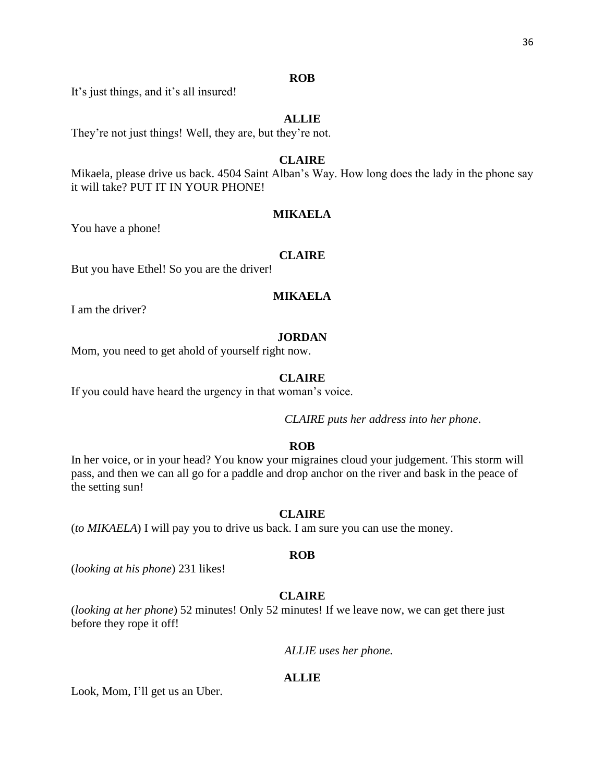# **ROB**

It's just things, and it's all insured!

# **ALLIE**

They're not just things! Well, they are, but they're not.

# **CLAIRE**

Mikaela, please drive us back. 4504 Saint Alban's Way. How long does the lady in the phone say it will take? PUT IT IN YOUR PHONE!

# **MIKAELA**

You have a phone!

# **CLAIRE**

But you have Ethel! So you are the driver!

# **MIKAELA**

I am the driver?

#### **JORDAN**

Mom, you need to get ahold of yourself right now.

# **CLAIRE**

If you could have heard the urgency in that woman's voice.

*CLAIRE puts her address into her phone*.

# **ROB**

In her voice, or in your head? You know your migraines cloud your judgement. This storm will pass, and then we can all go for a paddle and drop anchor on the river and bask in the peace of the setting sun!

#### **CLAIRE**

(*to MIKAELA*) I will pay you to drive us back. I am sure you can use the money.

# **ROB**

(*looking at his phone*) 231 likes!

# **CLAIRE**

(*looking at her phone*) 52 minutes! Only 52 minutes! If we leave now, we can get there just before they rope it off!

*ALLIE uses her phone.* 

# **ALLIE**

Look, Mom, I'll get us an Uber.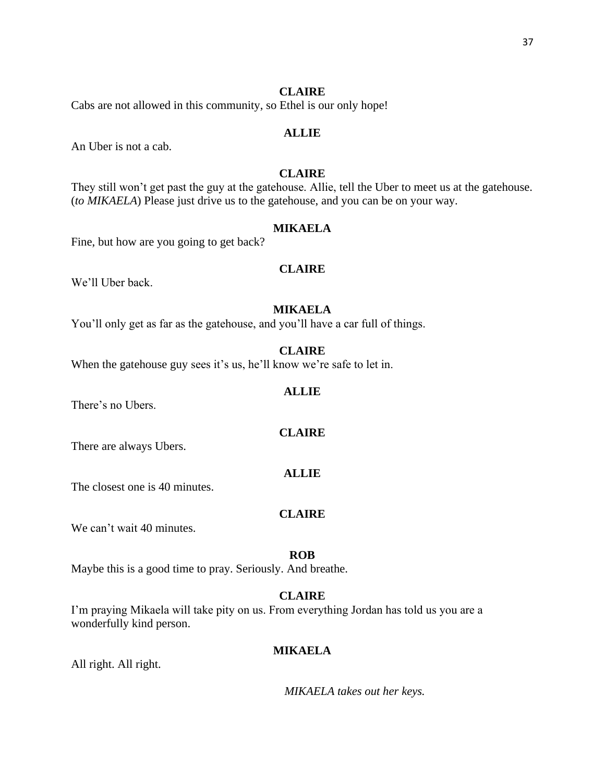Cabs are not allowed in this community, so Ethel is our only hope!

# **ALLIE**

An Uber is not a cab.

# **CLAIRE**

They still won't get past the guy at the gatehouse. Allie, tell the Uber to meet us at the gatehouse. (*to MIKAELA*) Please just drive us to the gatehouse, and you can be on your way.

# **MIKAELA**

Fine, but how are you going to get back?

#### **CLAIRE**

We'll Uber back.

# **MIKAELA**

You'll only get as far as the gatehouse, and you'll have a car full of things.

#### **CLAIRE**

When the gatehouse guy sees it's us, he'll know we're safe to let in.

#### **ALLIE**

There's no Ubers.

# **CLAIRE**

There are always Ubers.

The closest one is 40 minutes.

# **CLAIRE**

**ALLIE**

We can't wait 40 minutes.

#### **ROB**

Maybe this is a good time to pray. Seriously. And breathe.

# **CLAIRE**

I'm praying Mikaela will take pity on us. From everything Jordan has told us you are a wonderfully kind person.

# **MIKAELA**

All right. All right.

*MIKAELA takes out her keys.*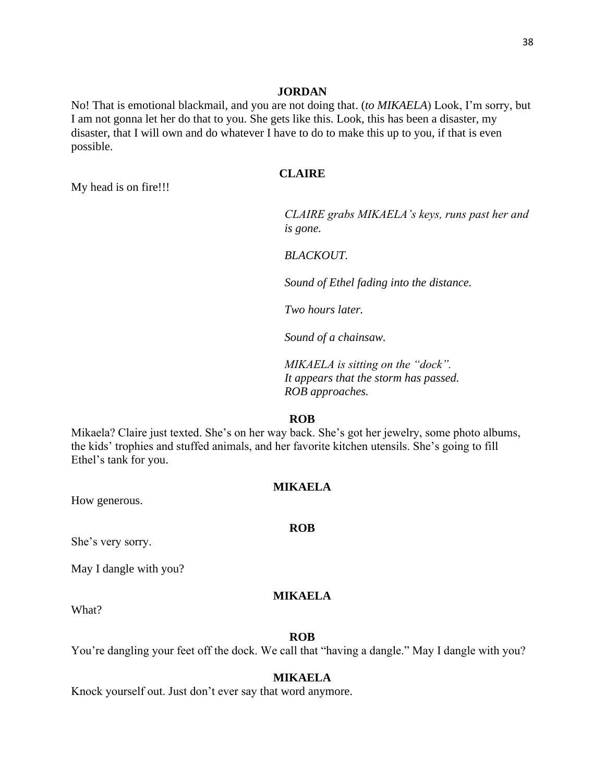No! That is emotional blackmail, and you are not doing that. (*to MIKAELA*) Look, I'm sorry, but I am not gonna let her do that to you. She gets like this. Look, this has been a disaster, my disaster, that I will own and do whatever I have to do to make this up to you, if that is even possible.

# **CLAIRE**

My head is on fire!!!

*CLAIRE grabs MIKAELA's keys, runs past her and is gone.* 

*BLACKOUT.* 

*Sound of Ethel fading into the distance.*

*Two hours later.* 

*Sound of a chainsaw.*

*MIKAELA is sitting on the "dock". It appears that the storm has passed. ROB approaches.*

#### **ROB**

Mikaela? Claire just texted. She's on her way back. She's got her jewelry, some photo albums, the kids' trophies and stuffed animals, and her favorite kitchen utensils. She's going to fill Ethel's tank for you.

#### **MIKAELA**

How generous.

#### **ROB**

She's very sorry.

May I dangle with you?

# **MIKAELA**

What?

# **ROB**

You're dangling your feet off the dock. We call that "having a dangle." May I dangle with you?

#### **MIKAELA**

Knock yourself out. Just don't ever say that word anymore.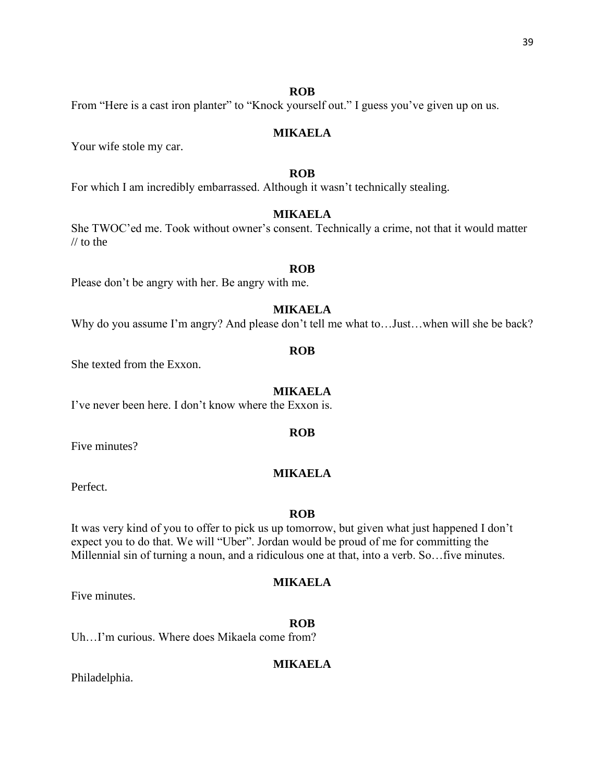#### **ROB**

From "Here is a cast iron planter" to "Knock yourself out." I guess you've given up on us.

# **MIKAELA**

Your wife stole my car.

# **ROB**

For which I am incredibly embarrassed. Although it wasn't technically stealing.

# **MIKAELA**

She TWOC'ed me. Took without owner's consent. Technically a crime, not that it would matter // to the

#### **ROB**

Please don't be angry with her. Be angry with me.

# **MIKAELA**

Why do you assume I'm angry? And please don't tell me what to...Just...when will she be back?

#### **ROB**

She texted from the Exxon.

#### **MIKAELA**

I've never been here. I don't know where the Exxon is.

Five minutes?

# **MIKAELA**

Perfect.

#### **ROB**

It was very kind of you to offer to pick us up tomorrow, but given what just happened I don't expect you to do that. We will "Uber". Jordan would be proud of me for committing the Millennial sin of turning a noun, and a ridiculous one at that, into a verb. So…five minutes.

# **MIKAELA**

**ROB**

Five minutes.

Uh…I'm curious. Where does Mikaela come from?

# **MIKAELA**

Philadelphia.

# **ROB**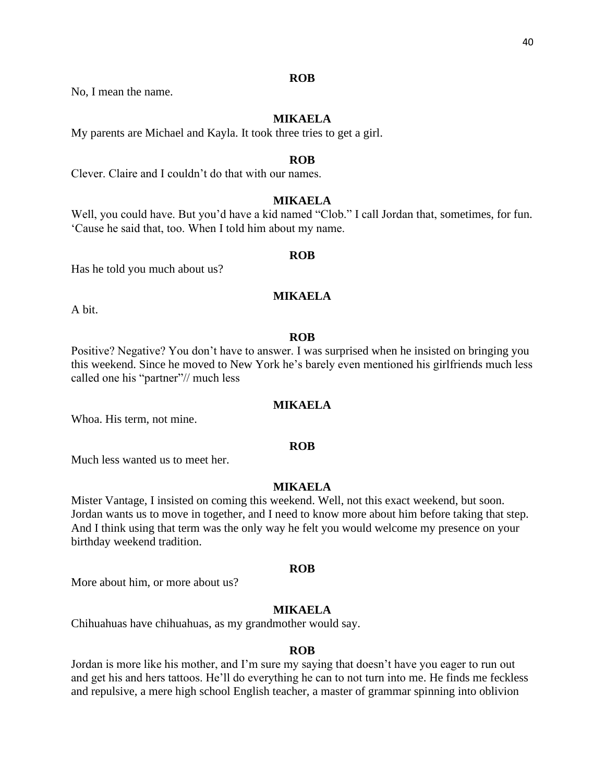# **ROB**

No, I mean the name.

# **MIKAELA**

My parents are Michael and Kayla. It took three tries to get a girl.

#### **ROB**

Clever. Claire and I couldn't do that with our names.

# **MIKAELA**

Well, you could have. But you'd have a kid named "Clob." I call Jordan that, sometimes, for fun. 'Cause he said that, too. When I told him about my name.

#### **ROB**

Has he told you much about us?

# **MIKAELA**

A bit.

# **ROB**

Positive? Negative? You don't have to answer. I was surprised when he insisted on bringing you this weekend. Since he moved to New York he's barely even mentioned his girlfriends much less called one his "partner"// much less

#### **MIKAELA**

Whoa. His term, not mine.

#### **ROB**

Much less wanted us to meet her.

# **MIKAELA**

Mister Vantage, I insisted on coming this weekend. Well, not this exact weekend, but soon. Jordan wants us to move in together, and I need to know more about him before taking that step. And I think using that term was the only way he felt you would welcome my presence on your birthday weekend tradition.

#### **ROB**

More about him, or more about us?

# **MIKAELA**

Chihuahuas have chihuahuas, as my grandmother would say.

#### **ROB**

Jordan is more like his mother, and I'm sure my saying that doesn't have you eager to run out and get his and hers tattoos. He'll do everything he can to not turn into me. He finds me feckless and repulsive, a mere high school English teacher, a master of grammar spinning into oblivion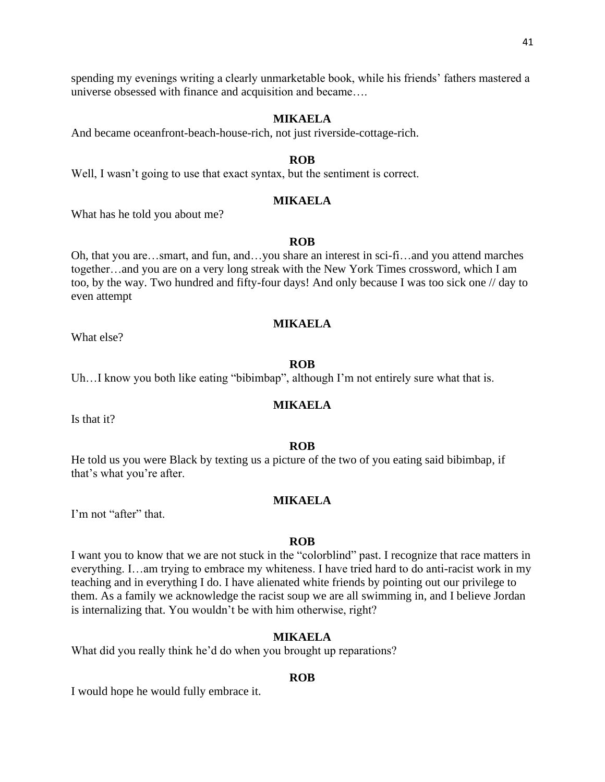spending my evenings writing a clearly unmarketable book, while his friends' fathers mastered a universe obsessed with finance and acquisition and became….

# **MIKAELA**

And became oceanfront-beach-house-rich, not just riverside-cottage-rich.

#### **ROB**

Well, I wasn't going to use that exact syntax, but the sentiment is correct.

# **MIKAELA**

What has he told you about me?

# **ROB**

Oh, that you are…smart, and fun, and…you share an interest in sci-fi…and you attend marches together…and you are on a very long streak with the New York Times crossword, which I am too, by the way. Two hundred and fifty-four days! And only because I was too sick one // day to even attempt

#### **MIKAELA**

What else?

# **ROB**

Uh...I know you both like eating "bibimbap", although I'm not entirely sure what that is.

#### **MIKAELA**

Is that it?

#### **ROB**

He told us you were Black by texting us a picture of the two of you eating said bibimbap, if that's what you're after.

#### **MIKAELA**

I'm not "after" that.

#### **ROB**

I want you to know that we are not stuck in the "colorblind" past. I recognize that race matters in everything. I…am trying to embrace my whiteness. I have tried hard to do anti-racist work in my teaching and in everything I do. I have alienated white friends by pointing out our privilege to them. As a family we acknowledge the racist soup we are all swimming in, and I believe Jordan is internalizing that. You wouldn't be with him otherwise, right?

# **MIKAELA**

What did you really think he'd do when you brought up reparations?

#### **ROB**

I would hope he would fully embrace it.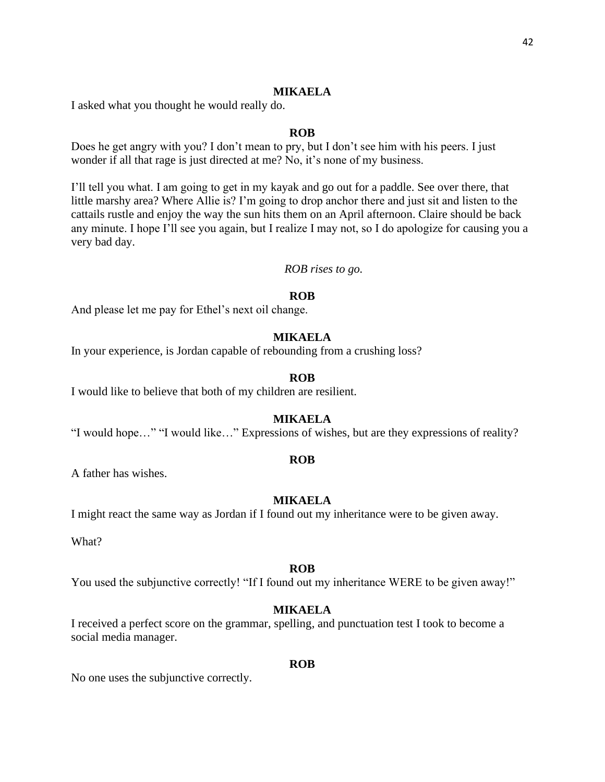#### **MIKAELA**

I asked what you thought he would really do.

#### **ROB**

Does he get angry with you? I don't mean to pry, but I don't see him with his peers. I just wonder if all that rage is just directed at me? No, it's none of my business.

I'll tell you what. I am going to get in my kayak and go out for a paddle. See over there, that little marshy area? Where Allie is? I'm going to drop anchor there and just sit and listen to the cattails rustle and enjoy the way the sun hits them on an April afternoon. Claire should be back any minute. I hope I'll see you again, but I realize I may not, so I do apologize for causing you a very bad day.

#### *ROB rises to go.*

#### **ROB**

And please let me pay for Ethel's next oil change.

# **MIKAELA**

In your experience, is Jordan capable of rebounding from a crushing loss?

#### **ROB**

I would like to believe that both of my children are resilient.

# **MIKAELA**

"I would hope…" "I would like…" Expressions of wishes, but are they expressions of reality?

#### **ROB**

A father has wishes.

#### **MIKAELA**

I might react the same way as Jordan if I found out my inheritance were to be given away.

What?

#### **ROB**

You used the subjunctive correctly! "If I found out my inheritance WERE to be given away!"

# **MIKAELA**

I received a perfect score on the grammar, spelling, and punctuation test I took to become a social media manager.

#### **ROB**

No one uses the subjunctive correctly.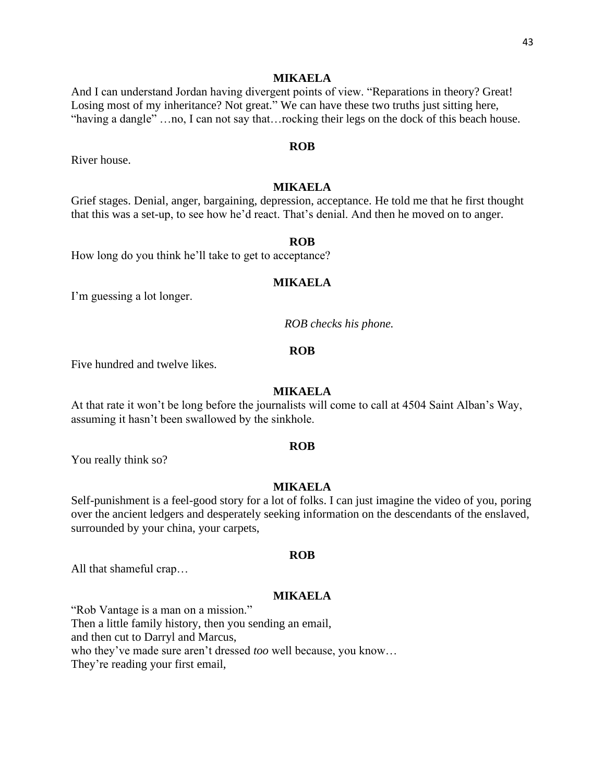#### **MIKAELA**

And I can understand Jordan having divergent points of view. "Reparations in theory? Great! Losing most of my inheritance? Not great." We can have these two truths just sitting here, "having a dangle" …no, I can not say that…rocking their legs on the dock of this beach house.

# **ROB**

River house.

# **MIKAELA**

Grief stages. Denial, anger, bargaining, depression, acceptance. He told me that he first thought that this was a set-up, to see how he'd react. That's denial. And then he moved on to anger.

#### **ROB**

How long do you think he'll take to get to acceptance?

# **MIKAELA**

I'm guessing a lot longer.

*ROB checks his phone.*

#### **ROB**

Five hundred and twelve likes.

# **MIKAELA**

At that rate it won't be long before the journalists will come to call at 4504 Saint Alban's Way, assuming it hasn't been swallowed by the sinkhole.

#### **ROB**

You really think so?

#### **MIKAELA**

Self-punishment is a feel-good story for a lot of folks. I can just imagine the video of you, poring over the ancient ledgers and desperately seeking information on the descendants of the enslaved, surrounded by your china, your carpets,

#### **ROB**

All that shameful crap…

#### **MIKAELA**

"Rob Vantage is a man on a mission."

Then a little family history, then you sending an email,

and then cut to Darryl and Marcus,

who they've made sure aren't dressed *too* well because, you know…

They're reading your first email,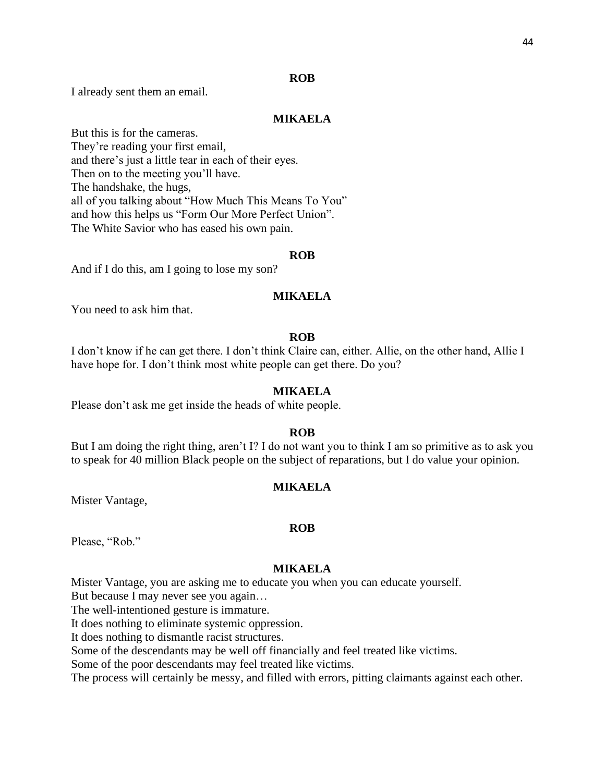#### **ROB**

I already sent them an email.

# **MIKAELA**

But this is for the cameras. They're reading your first email, and there's just a little tear in each of their eyes. Then on to the meeting you'll have. The handshake, the hugs, all of you talking about "How Much This Means To You" and how this helps us "Form Our More Perfect Union". The White Savior who has eased his own pain.

#### **ROB**

And if I do this, am I going to lose my son?

# **MIKAELA**

You need to ask him that.

# **ROB**

I don't know if he can get there. I don't think Claire can, either. Allie, on the other hand, Allie I have hope for. I don't think most white people can get there. Do you?

#### **MIKAELA**

Please don't ask me get inside the heads of white people.

#### **ROB**

But I am doing the right thing, aren't I? I do not want you to think I am so primitive as to ask you to speak for 40 million Black people on the subject of reparations, but I do value your opinion.

#### **MIKAELA**

Mister Vantage,

#### **ROB**

Please, "Rob."

#### **MIKAELA**

Mister Vantage, you are asking me to educate you when you can educate yourself.

But because I may never see you again…

The well-intentioned gesture is immature.

It does nothing to eliminate systemic oppression.

It does nothing to dismantle racist structures.

Some of the descendants may be well off financially and feel treated like victims.

Some of the poor descendants may feel treated like victims.

The process will certainly be messy, and filled with errors, pitting claimants against each other.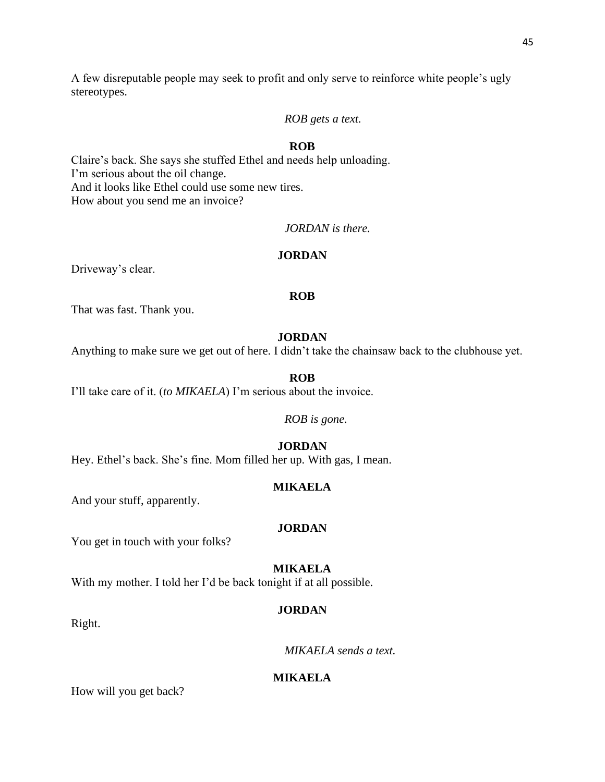A few disreputable people may seek to profit and only serve to reinforce white people's ugly stereotypes.

# *ROB gets a text.*

# **ROB**

Claire's back. She says she stuffed Ethel and needs help unloading. I'm serious about the oil change. And it looks like Ethel could use some new tires. How about you send me an invoice?

# *JORDAN is there.*

# **JORDAN**

Driveway's clear.

# **ROB**

That was fast. Thank you.

# **JORDAN**

Anything to make sure we get out of here. I didn't take the chainsaw back to the clubhouse yet.

#### **ROB**

I'll take care of it. (*to MIKAELA*) I'm serious about the invoice.

#### *ROB is gone.*

# **JORDAN**

Hey. Ethel's back. She's fine. Mom filled her up. With gas, I mean.

#### **MIKAELA**

And your stuff, apparently.

# **JORDAN**

You get in touch with your folks?

#### **MIKAELA**

With my mother. I told her I'd be back tonight if at all possible.

# **JORDAN**

Right.

*MIKAELA sends a text.*

# **MIKAELA**

How will you get back?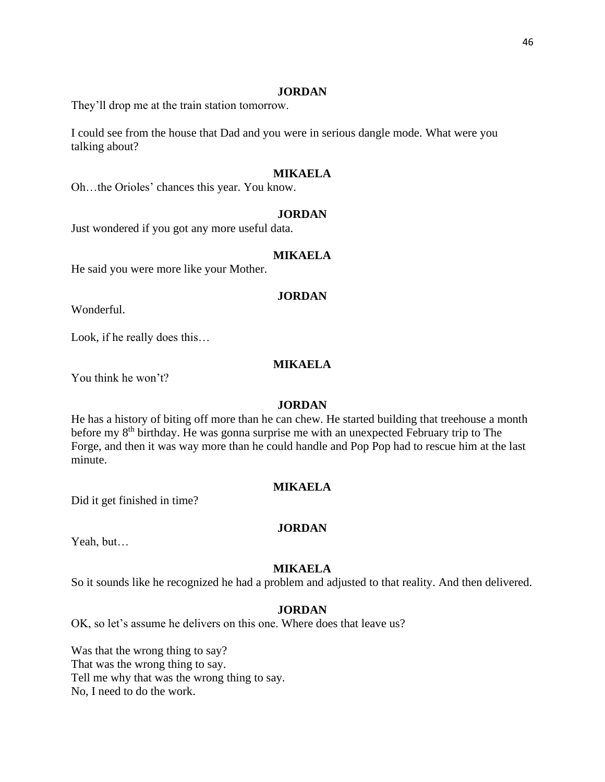They'll drop me at the train station tomorrow.

I could see from the house that Dad and you were in serious dangle mode. What were you talking about?

# **MIKAELA**

Oh…the Orioles' chances this year. You know.

#### **JORDAN**

Just wondered if you got any more useful data.

# **MIKAELA**

He said you were more like your Mother.

# **JORDAN**

Wonderful.

Look, if he really does this…

# **MIKAELA**

You think he won't?

#### **JORDAN**

He has a history of biting off more than he can chew. He started building that treehouse a month before my 8<sup>th</sup> birthday. He was gonna surprise me with an unexpected February trip to The Forge, and then it was way more than he could handle and Pop Pop had to rescue him at the last minute.

#### **MIKAELA**

Did it get finished in time?

# **JORDAN**

Yeah, but…

#### **MIKAELA**

So it sounds like he recognized he had a problem and adjusted to that reality. And then delivered.

#### **JORDAN**

OK, so let's assume he delivers on this one. Where does that leave us?

Was that the wrong thing to say? That was the wrong thing to say. Tell me why that was the wrong thing to say. No, I need to do the work.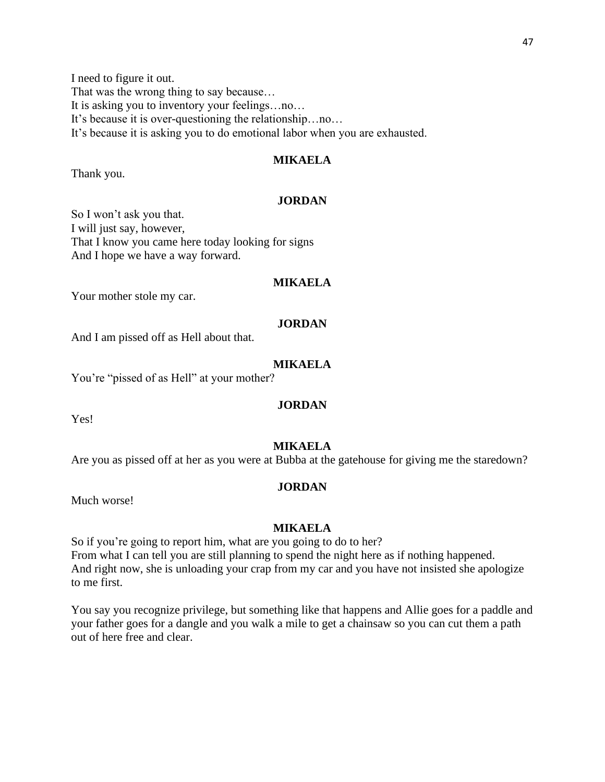I need to figure it out. That was the wrong thing to say because… It is asking you to inventory your feelings…no… It's because it is over-questioning the relationship…no… It's because it is asking you to do emotional labor when you are exhausted.

# **MIKAELA**

Thank you.

# **JORDAN**

So I won't ask you that. I will just say, however, That I know you came here today looking for signs And I hope we have a way forward.

# **MIKAELA**

Your mother stole my car.

#### **JORDAN**

And I am pissed off as Hell about that.

# **MIKAELA**

You're "pissed of as Hell" at your mother?

#### **JORDAN**

Yes!

#### **MIKAELA**

Are you as pissed off at her as you were at Bubba at the gatehouse for giving me the staredown?

#### **JORDAN**

Much worse!

#### **MIKAELA**

So if you're going to report him, what are you going to do to her? From what I can tell you are still planning to spend the night here as if nothing happened. And right now, she is unloading your crap from my car and you have not insisted she apologize to me first.

You say you recognize privilege, but something like that happens and Allie goes for a paddle and your father goes for a dangle and you walk a mile to get a chainsaw so you can cut them a path out of here free and clear.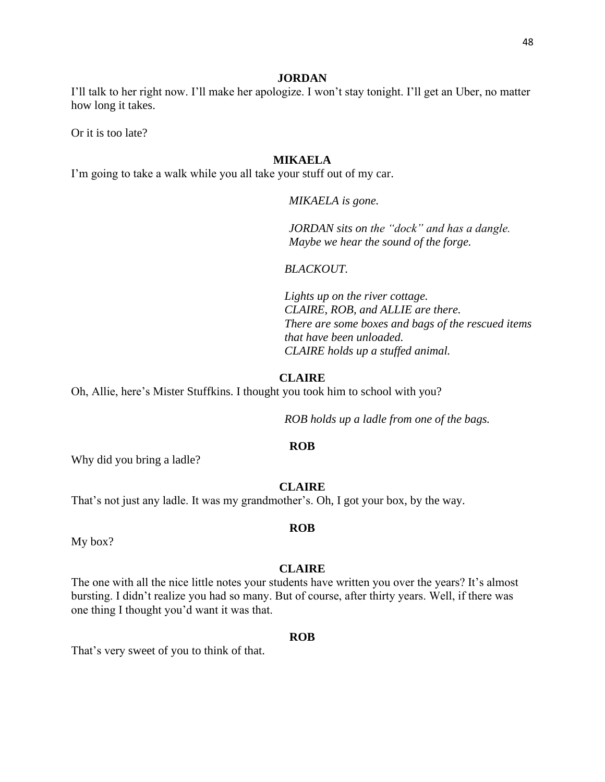I'll talk to her right now. I'll make her apologize. I won't stay tonight. I'll get an Uber, no matter how long it takes.

Or it is too late?

# **MIKAELA**

I'm going to take a walk while you all take your stuff out of my car.

*MIKAELA is gone.*

*JORDAN sits on the "dock" and has a dangle. Maybe we hear the sound of the forge.*

*BLACKOUT.*

*Lights up on the river cottage. CLAIRE, ROB, and ALLIE are there. There are some boxes and bags of the rescued items that have been unloaded. CLAIRE holds up a stuffed animal.*

#### **CLAIRE**

Oh, Allie, here's Mister Stuffkins. I thought you took him to school with you?

*ROB holds up a ladle from one of the bags.*

#### **ROB**

Why did you bring a ladle?

#### **CLAIRE**

That's not just any ladle. It was my grandmother's. Oh, I got your box, by the way.

My box?

# **CLAIRE**

**ROB**

The one with all the nice little notes your students have written you over the years? It's almost bursting. I didn't realize you had so many. But of course, after thirty years. Well, if there was one thing I thought you'd want it was that.

#### **ROB**

That's very sweet of you to think of that.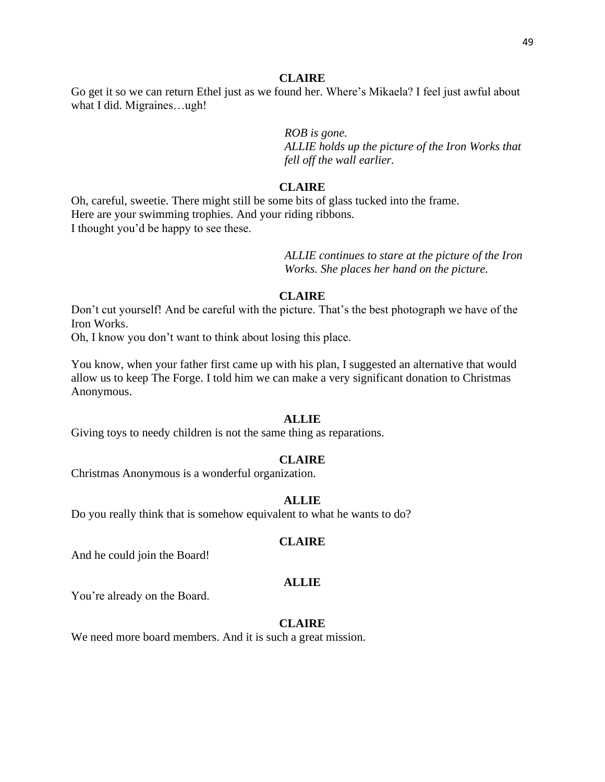Go get it so we can return Ethel just as we found her. Where's Mikaela? I feel just awful about what I did. Migraines…ugh!

*ROB is gone.*

*ALLIE holds up the picture of the Iron Works that fell off the wall earlier.*

# **CLAIRE**

Oh, careful, sweetie. There might still be some bits of glass tucked into the frame. Here are your swimming trophies. And your riding ribbons. I thought you'd be happy to see these.

> *ALLIE continues to stare at the picture of the Iron Works. She places her hand on the picture.*

# **CLAIRE**

Don't cut yourself! And be careful with the picture. That's the best photograph we have of the Iron Works.

Oh, I know you don't want to think about losing this place.

You know, when your father first came up with his plan, I suggested an alternative that would allow us to keep The Forge. I told him we can make a very significant donation to Christmas Anonymous.

#### **ALLIE**

Giving toys to needy children is not the same thing as reparations.

# **CLAIRE**

Christmas Anonymous is a wonderful organization.

#### **ALLIE**

Do you really think that is somehow equivalent to what he wants to do?

#### **CLAIRE**

And he could join the Board!

# **ALLIE**

You're already on the Board.

#### **CLAIRE**

We need more board members. And it is such a great mission.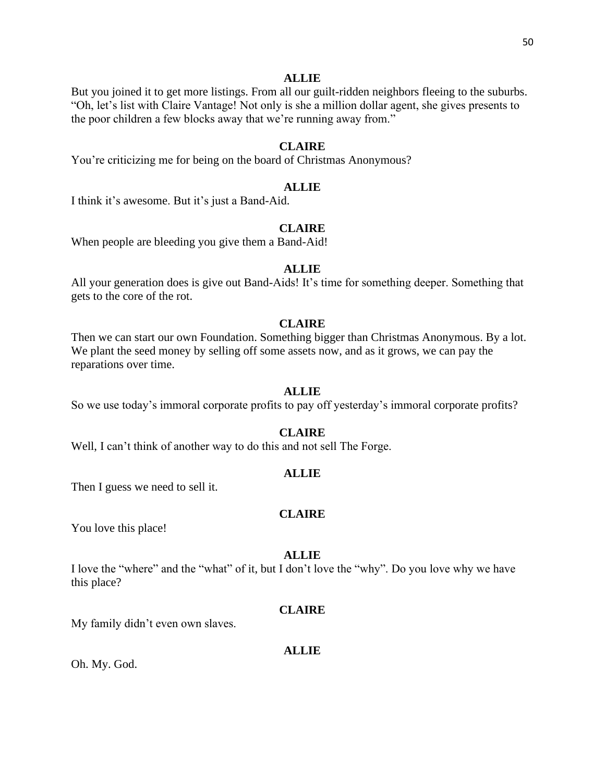#### **ALLIE**

But you joined it to get more listings. From all our guilt-ridden neighbors fleeing to the suburbs. "Oh, let's list with Claire Vantage! Not only is she a million dollar agent, she gives presents to the poor children a few blocks away that we're running away from."

# **CLAIRE**

You're criticizing me for being on the board of Christmas Anonymous?

#### **ALLIE**

I think it's awesome. But it's just a Band-Aid.

# **CLAIRE**

When people are bleeding you give them a Band-Aid!

#### **ALLIE**

All your generation does is give out Band-Aids! It's time for something deeper. Something that gets to the core of the rot.

#### **CLAIRE**

Then we can start our own Foundation. Something bigger than Christmas Anonymous. By a lot. We plant the seed money by selling off some assets now, and as it grows, we can pay the reparations over time.

#### **ALLIE**

So we use today's immoral corporate profits to pay off yesterday's immoral corporate profits?

#### **CLAIRE**

Well, I can't think of another way to do this and not sell The Forge.

# **ALLIE**

Then I guess we need to sell it.

# **CLAIRE**

You love this place!

#### **ALLIE**

I love the "where" and the "what" of it, but I don't love the "why". Do you love why we have this place?

#### **CLAIRE**

My family didn't even own slaves.

#### **ALLIE**

Oh. My. God.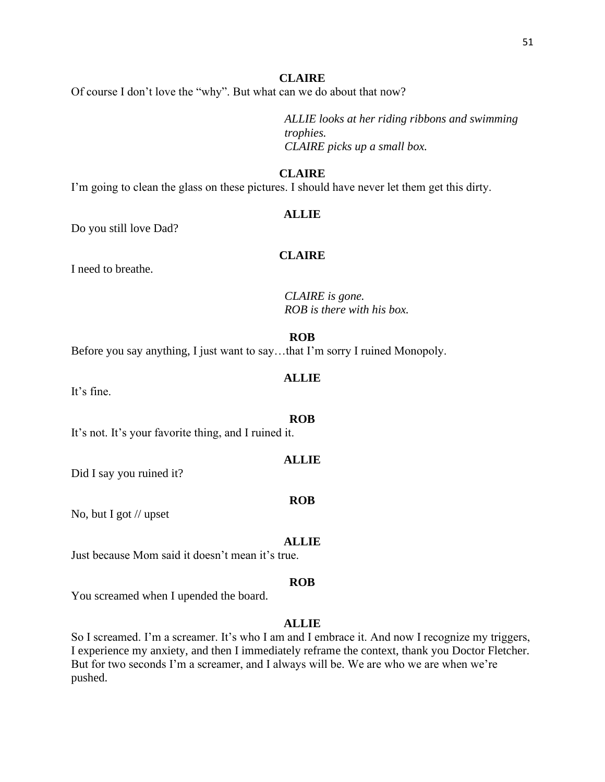Of course I don't love the "why". But what can we do about that now?

*ALLIE looks at her riding ribbons and swimming trophies. CLAIRE picks up a small box.* 

# **CLAIRE**

I'm going to clean the glass on these pictures. I should have never let them get this dirty.

# **ALLIE**

Do you still love Dad?

# **CLAIRE**

I need to breathe.

*CLAIRE is gone. ROB is there with his box.* 

# **ROB**

Before you say anything, I just want to say…that I'm sorry I ruined Monopoly.

# **ALLIE**

It's fine.

It's not. It's your favorite thing, and I ruined it.

#### **ALLIE**

**ROB**

Did I say you ruined it?

No, but I got // upset

# **ALLIE**

Just because Mom said it doesn't mean it's true.

#### **ROB**

You screamed when I upended the board.

# **ALLIE**

So I screamed. I'm a screamer. It's who I am and I embrace it. And now I recognize my triggers, I experience my anxiety, and then I immediately reframe the context, thank you Doctor Fletcher. But for two seconds I'm a screamer, and I always will be. We are who we are when we're pushed.

# **ROB**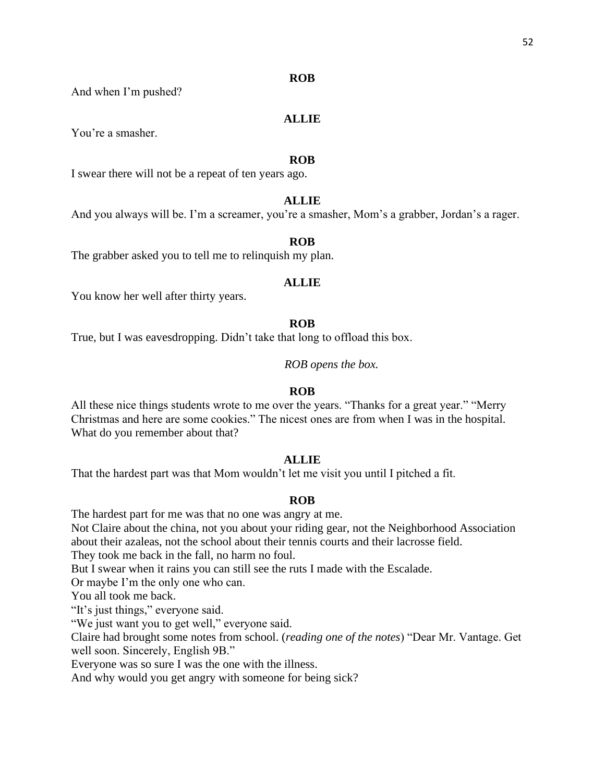#### **ROB**

And when I'm pushed?

# **ALLIE**

You're a smasher.

#### **ROB**

I swear there will not be a repeat of ten years ago.

# **ALLIE**

And you always will be. I'm a screamer, you're a smasher, Mom's a grabber, Jordan's a rager.

#### **ROB**

The grabber asked you to tell me to relinquish my plan.

# **ALLIE**

You know her well after thirty years.

# **ROB**

True, but I was eavesdropping. Didn't take that long to offload this box.

*ROB opens the box.*

# **ROB**

All these nice things students wrote to me over the years. "Thanks for a great year." "Merry Christmas and here are some cookies." The nicest ones are from when I was in the hospital. What do you remember about that?

# **ALLIE**

That the hardest part was that Mom wouldn't let me visit you until I pitched a fit.

# **ROB**

The hardest part for me was that no one was angry at me.

Not Claire about the china, not you about your riding gear, not the Neighborhood Association about their azaleas, not the school about their tennis courts and their lacrosse field.

They took me back in the fall, no harm no foul.

But I swear when it rains you can still see the ruts I made with the Escalade.

Or maybe I'm the only one who can.

You all took me back.

"It's just things," everyone said.

"We just want you to get well," everyone said.

Claire had brought some notes from school. (*reading one of the notes*) "Dear Mr. Vantage. Get well soon. Sincerely, English 9B."

Everyone was so sure I was the one with the illness.

And why would you get angry with someone for being sick?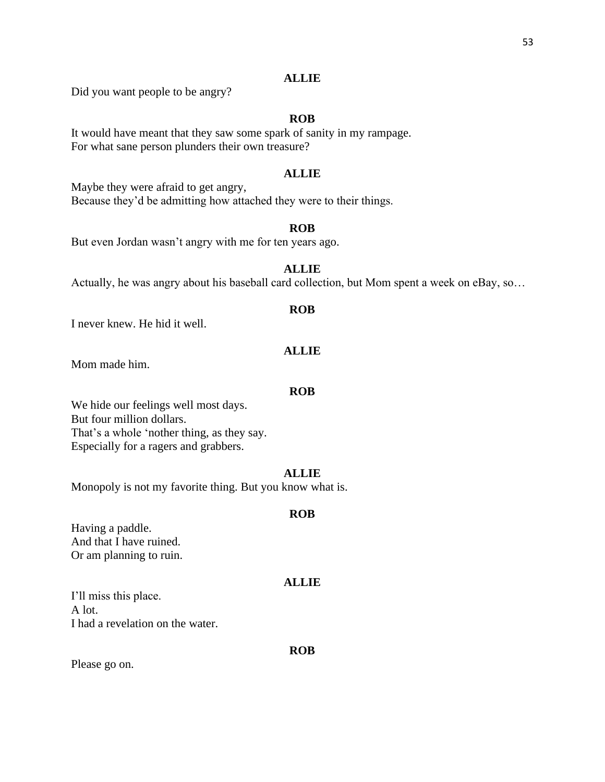# **ALLIE**

Did you want people to be angry?

# **ROB**

It would have meant that they saw some spark of sanity in my rampage. For what sane person plunders their own treasure?

# **ALLIE**

Maybe they were afraid to get angry, Because they'd be admitting how attached they were to their things.

# **ROB**

But even Jordan wasn't angry with me for ten years ago.

# **ALLIE**

Actually, he was angry about his baseball card collection, but Mom spent a week on eBay, so…

#### **ROB**

I never knew. He hid it well.

# **ALLIE**

Mom made him.

# **ROB**

We hide our feelings well most days. But four million dollars. That's a whole 'nother thing, as they say. Especially for a ragers and grabbers.

# **ALLIE**

Monopoly is not my favorite thing. But you know what is.

#### **ROB**

Having a paddle. And that I have ruined. Or am planning to ruin.

#### **ALLIE**

I'll miss this place. A lot. I had a revelation on the water.

#### **ROB**

Please go on.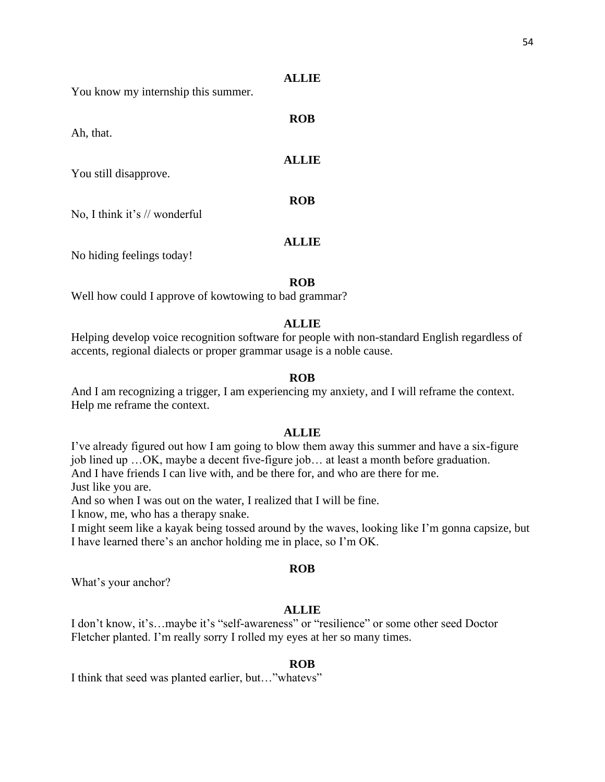| You know my internship this summer. |  |
|-------------------------------------|--|
|                                     |  |

Ah, that.

You still disapprove.

No, I think it's // wonderful

No hiding feelings today!

**ROB**

**ALLIE**

**ROB**

**ALLIE**

**ROB**

**ALLIE**

Well how could I approve of kowtowing to bad grammar?

# **ALLIE**

Helping develop voice recognition software for people with non-standard English regardless of accents, regional dialects or proper grammar usage is a noble cause.

# **ROB**

And I am recognizing a trigger, I am experiencing my anxiety, and I will reframe the context. Help me reframe the context.

# **ALLIE**

I've already figured out how I am going to blow them away this summer and have a six-figure job lined up …OK, maybe a decent five-figure job… at least a month before graduation. And I have friends I can live with, and be there for, and who are there for me.

Just like you are.

And so when I was out on the water, I realized that I will be fine.

I know, me, who has a therapy snake.

I might seem like a kayak being tossed around by the waves, looking like I'm gonna capsize, but I have learned there's an anchor holding me in place, so I'm OK.

# **ROB**

What's your anchor?

# **ALLIE**

I don't know, it's…maybe it's "self-awareness" or "resilience" or some other seed Doctor Fletcher planted. I'm really sorry I rolled my eyes at her so many times.

# **ROB**

I think that seed was planted earlier, but…"whatevs"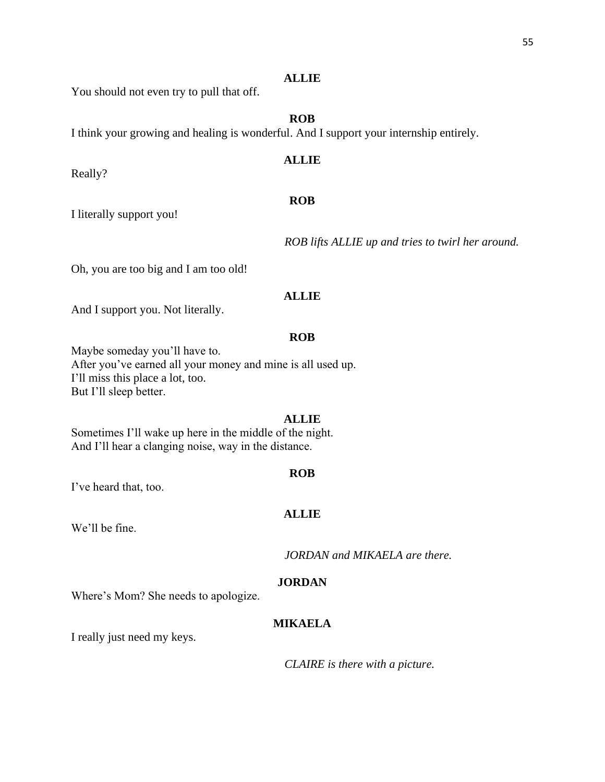# **ALLIE**

You should not even try to pull that off.

# **ROB**

I think your growing and healing is wonderful. And I support your internship entirely.

# **ALLIE**

# **ROB**

I literally support you!

Really?

*ROB lifts ALLIE up and tries to twirl her around.*

Oh, you are too big and I am too old!

# **ALLIE**

And I support you. Not literally.

# **ROB**

Maybe someday you'll have to. After you've earned all your money and mine is all used up. I'll miss this place a lot, too. But I'll sleep better.

# **ALLIE**

Sometimes I'll wake up here in the middle of the night. And I'll hear a clanging noise, way in the distance.

I've heard that, too.

# **ALLIE**

**ROB**

We'll be fine.

*JORDAN and MIKAELA are there.*

# **JORDAN**

Where's Mom? She needs to apologize.

# **MIKAELA**

I really just need my keys.

*CLAIRE is there with a picture.*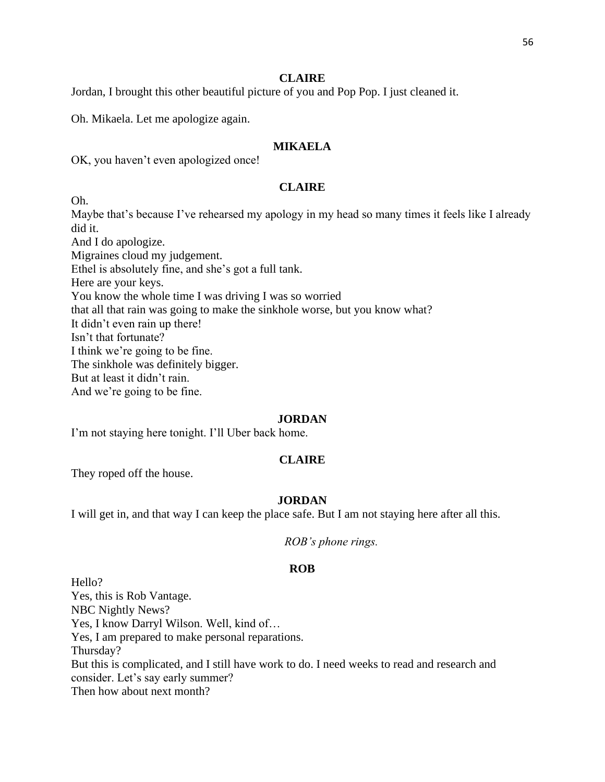Jordan, I brought this other beautiful picture of you and Pop Pop. I just cleaned it.

Oh. Mikaela. Let me apologize again.

# **MIKAELA**

OK, you haven't even apologized once!

# **CLAIRE**

Oh.

Maybe that's because I've rehearsed my apology in my head so many times it feels like I already did it. And I do apologize. Migraines cloud my judgement. Ethel is absolutely fine, and she's got a full tank. Here are your keys. You know the whole time I was driving I was so worried that all that rain was going to make the sinkhole worse, but you know what? It didn't even rain up there! Isn't that fortunate? I think we're going to be fine. The sinkhole was definitely bigger. But at least it didn't rain. And we're going to be fine.

#### **JORDAN**

I'm not staying here tonight. I'll Uber back home.

# **CLAIRE**

They roped off the house.

# **JORDAN**

I will get in, and that way I can keep the place safe. But I am not staying here after all this.

#### **ROB**

Hello? Yes, this is Rob Vantage. NBC Nightly News? Yes, I know Darryl Wilson. Well, kind of… Yes, I am prepared to make personal reparations. Thursday? But this is complicated, and I still have work to do. I need weeks to read and research and consider. Let's say early summer? Then how about next month?

*ROB's phone rings.*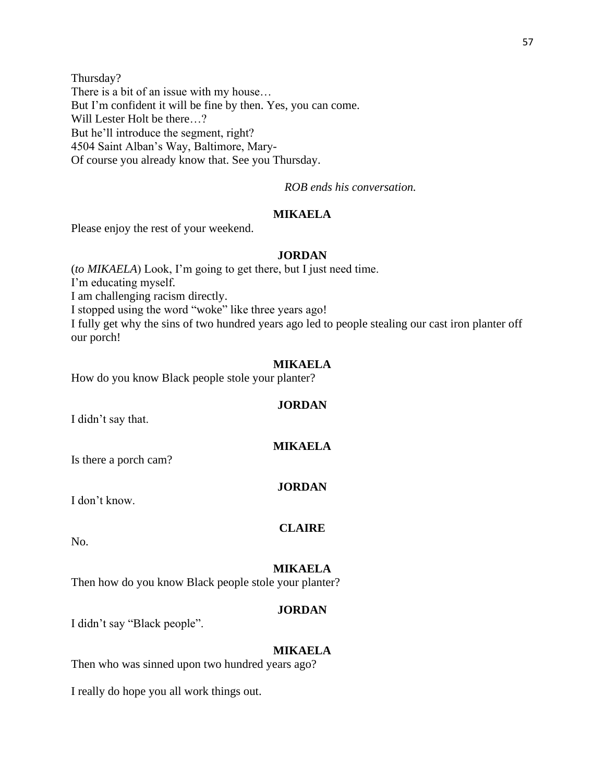Thursday? There is a bit of an issue with my house… But I'm confident it will be fine by then. Yes, you can come. Will Lester Holt be there…? But he'll introduce the segment, right? 4504 Saint Alban's Way, Baltimore, Mary-Of course you already know that. See you Thursday.

*ROB ends his conversation.*

# **MIKAELA**

Please enjoy the rest of your weekend.

# **JORDAN**

(*to MIKAELA*) Look, I'm going to get there, but I just need time. I'm educating myself. I am challenging racism directly. I stopped using the word "woke" like three years ago! I fully get why the sins of two hundred years ago led to people stealing our cast iron planter off our porch!

# **MIKAELA**

How do you know Black people stole your planter?

#### **JORDAN**

I didn't say that.

#### **MIKAELA**

Is there a porch cam?

#### **JORDAN**

I don't know.

#### **CLAIRE**

No.

#### **MIKAELA**

Then how do you know Black people stole your planter?

# **JORDAN**

I didn't say "Black people".

# **MIKAELA**

Then who was sinned upon two hundred years ago?

I really do hope you all work things out.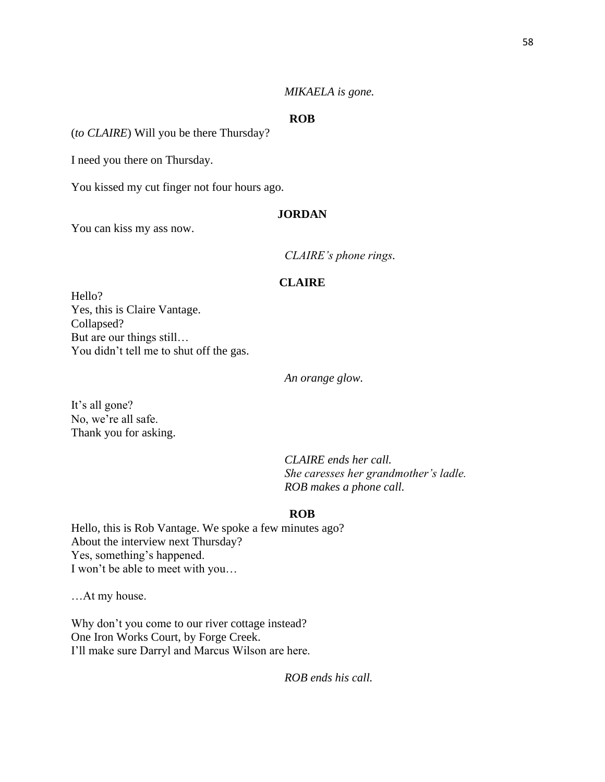# *MIKAELA is gone.*

# **ROB**

(*to CLAIRE*) Will you be there Thursday?

I need you there on Thursday.

You kissed my cut finger not four hours ago.

# **JORDAN**

You can kiss my ass now.

*CLAIRE's phone rings.*

# **CLAIRE**

Hello? Yes, this is Claire Vantage. Collapsed? But are our things still… You didn't tell me to shut off the gas.

*An orange glow.* 

It's all gone? No, we're all safe. Thank you for asking.

> *CLAIRE ends her call. She caresses her grandmother's ladle. ROB makes a phone call.*

# **ROB**

Hello, this is Rob Vantage. We spoke a few minutes ago? About the interview next Thursday? Yes, something's happened. I won't be able to meet with you…

…At my house.

Why don't you come to our river cottage instead? One Iron Works Court, by Forge Creek. I'll make sure Darryl and Marcus Wilson are here.

*ROB ends his call.*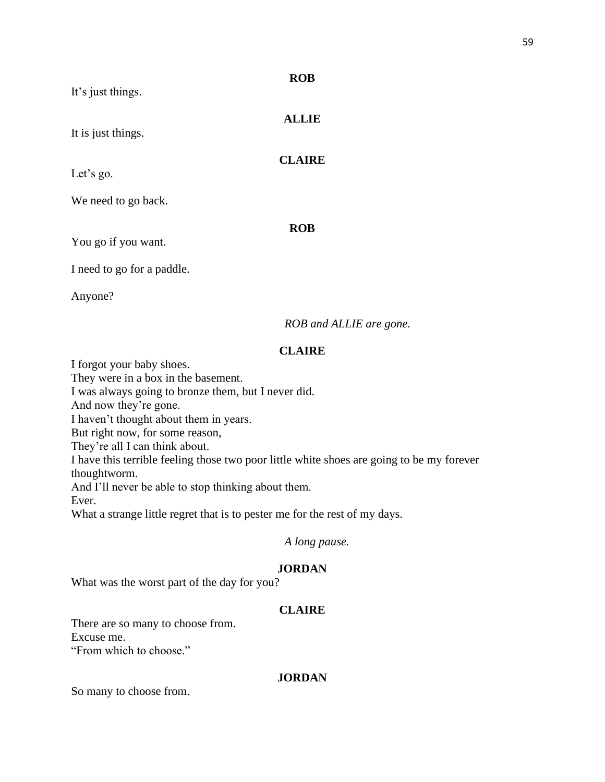| It's just things.          | <b>ROB</b>    |
|----------------------------|---------------|
| It is just things.         | <b>ALLIE</b>  |
| Let's go.                  | <b>CLAIRE</b> |
| We need to go back.        |               |
| You go if you want.        | <b>ROB</b>    |
| I need to go for a paddle. |               |
| Anyone?                    |               |

*ROB and ALLIE are gone.*

# **CLAIRE**

I forgot your baby shoes.

They were in a box in the basement.

I was always going to bronze them, but I never did.

And now they're gone.

I haven't thought about them in years.

But right now, for some reason,

They're all I can think about.

I have this terrible feeling those two poor little white shoes are going to be my forever

thoughtworm.

And I'll never be able to stop thinking about them.

Ever.

What a strange little regret that is to pester me for the rest of my days.

# *A long pause.*

# **JORDAN**

What was the worst part of the day for you?

# **CLAIRE**

There are so many to choose from. Excuse me.

"From which to choose."

# **JORDAN**

So many to choose from.